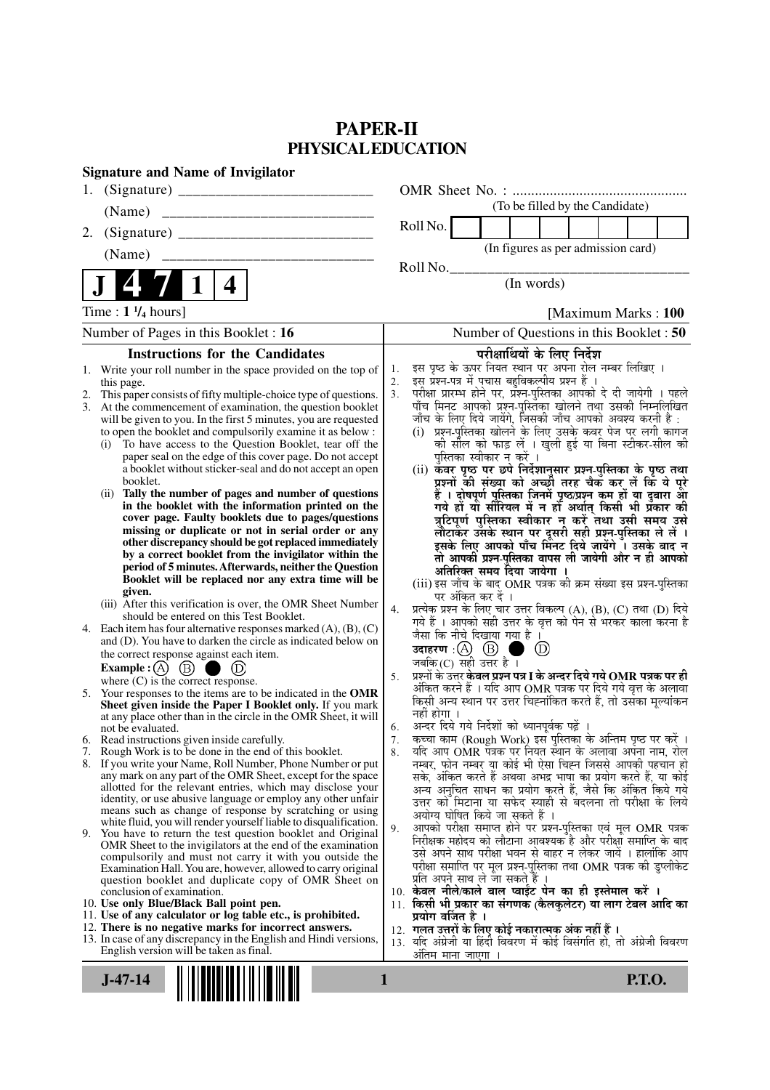# **PAPER-II PHYSICAL EDUCATION**

| <b>Signature and Name of Invigilator</b>                                                                                                    |                                                                                                                            |
|---------------------------------------------------------------------------------------------------------------------------------------------|----------------------------------------------------------------------------------------------------------------------------|
| 1.                                                                                                                                          |                                                                                                                            |
| (Name)                                                                                                                                      | (To be filled by the Candidate)                                                                                            |
| 2.                                                                                                                                          | Roll No.                                                                                                                   |
| (Name)<br>___________________________                                                                                                       | (In figures as per admission card)                                                                                         |
| 4                                                                                                                                           | Roll No.<br>(In words)                                                                                                     |
|                                                                                                                                             |                                                                                                                            |
| Time: $1\frac{1}{4}$ hours]                                                                                                                 | [Maximum Marks: 100]                                                                                                       |
| Number of Pages in this Booklet : 16                                                                                                        | Number of Questions in this Booklet : 50                                                                                   |
| <b>Instructions for the Candidates</b>                                                                                                      | परीक्षार्थियों के लिए निर्देश                                                                                              |
| 1. Write your roll number in the space provided on the top of                                                                               | इस पृष्ठ के ऊपर नियत स्थान पर अपना रोल नम्बर लिखिए ।<br>1.<br>इस प्रश्न-पत्र में पचास बहुविकल्पीय प्रश्न हैं ।             |
| this page.<br>This paper consists of fifty multiple-choice type of questions.<br>2.                                                         | 2.<br>परीक्षा प्रारम्भ होने पर, प्रश्न-पुस्तिका आपको दे दी जायेगी । पहले<br>3.                                             |
| At the commencement of examination, the question booklet<br>3.                                                                              | पाँच मिनट आपको प्रश्न-पुस्तिका खोलने तथा उसकी निम्नलिखित                                                                   |
| will be given to you. In the first 5 minutes, you are requested                                                                             | जाँच के लिए दिये जायेंगे, जिसकी जाँच आपको अवश्य करनी है :                                                                  |
| to open the booklet and compulsorily examine it as below :                                                                                  | (i) प्रश्न-पुस्तिका खोलने के लिए उसके कवर पेज पर लगी कागज                                                                  |
| To have access to the Question Booklet, tear off the<br>(i)                                                                                 | की सील को फाड़ लें । खुली हुई या बिना स्टीकर-सील की                                                                        |
| paper seal on the edge of this cover page. Do not accept                                                                                    | पुस्तिका स्वीकार न करें ।                                                                                                  |
| a booklet without sticker-seal and do not accept an open<br>booklet.                                                                        | (ii) कवर पृष्ठ पर छपे निर्देशानुसार प्रश्न-पुस्तिका के पृष्ठ तथा<br>प्रश्नों की संख्या को अच्छों तरह चैक कर लें कि ये पूरे |
| Tally the number of pages and number of questions<br>(ii)                                                                                   |                                                                                                                            |
| in the booklet with the information printed on the                                                                                          | हैं । दोषपूर्ण पुस्तिका जिनमें पृष्ठ/प्रश्न कम हों या दुबारा आ<br>गये हो या सीरियल में न हो अर्थात् किसी भी प्रकार की      |
| cover page. Faulty booklets due to pages/questions                                                                                          | त्रुटिपूर्ण पुस्तिका स्वीकार न करें तथा उसी समय उसे                                                                        |
| missing or duplicate or not in serial order or any                                                                                          | लौटाकेंर उसके स्थान पर दूसरी सही प्रश्न-पुस्तिका ले लें ।                                                                  |
| other discrepancy should be got replaced immediately<br>by a correct booklet from the invigilator within the                                | इसके लिए आपको पाँच मिंनट दिये जायेंगे ँ। उसके बाद न                                                                        |
| period of 5 minutes. Afterwards, neither the Question                                                                                       | तो आपकी प्रश्न-पुस्तिका वापस ली जायेगी और न ही आपको                                                                        |
| Booklet will be replaced nor any extra time will be                                                                                         | अतिरिक्त समय दिया जायेगा<br>(iii) इस जाँच के बाद OMR पत्रक की क्रम संख्या इस प्रश्न-पुस्तिका                               |
| given.                                                                                                                                      | पर अंकित कर दें ।                                                                                                          |
| (iii) After this verification is over, the OMR Sheet Number                                                                                 | प्रत्येक प्रश्न के लिए चार उत्तर विकल्प (A), (B), (C) तथा (D) दिये<br>4.                                                   |
| should be entered on this Test Booklet.                                                                                                     | गये हैं । आपको सही उत्तर के वृत्त को पेन से भरकर काला करना है                                                              |
| Each item has four alternative responses marked $(A)$ , $(B)$ , $(C)$<br>4.<br>and (D). You have to darken the circle as indicated below on | जैसा कि नीचे दिखाया गया है ।                                                                                               |
| the correct response against each item.                                                                                                     | उदाहरण: $(A)$ $(B)$<br>(D)                                                                                                 |
| Example : $(A)$ $(B)$ (<br>(D)                                                                                                              | जबकि (C) सही उत्तर है $\overline{1}$                                                                                       |
| where $(C)$ is the correct response.                                                                                                        | प्रश्नों के उत्तर <b>केवल प्रश्न पत्र I के अन्दर दिये गये OMR पत्रक पर ही</b><br>5.                                        |
| Your responses to the items are to be indicated in the OMR<br>5.                                                                            | अंकित करने हैं । यदि आप OMR पत्रक पर दिये गये वृत्त के अलावा                                                               |
| Sheet given inside the Paper I Booklet only. If you mark                                                                                    | किसी अन्य स्थान पर उत्तर चिह्नांकित करते हैं, तो उसका मूल्यांकन<br>नहीं होगा ।                                             |
| at any place other than in the circle in the OMR Sheet, it will<br>not be evaluated.                                                        | अन्दर दिये गये निर्देशों को ध्यानपूर्वक पढ़ें<br>6.                                                                        |
| 6. Read instructions given inside carefully.                                                                                                | कच्चा काम (Rough Work) इस पुस्तिका के अन्तिम पृष्ठ पर करें ।<br>7.                                                         |
| 7. Rough Work is to be done in the end of this booklet.                                                                                     | यदि आप OMR पत्रक पर नियत स्थान के अलावा अपना नाम, रोल<br>8.                                                                |
| 8. If you write your Name, Roll Number, Phone Number or put                                                                                 | नम्बर, फोन नम्बर या कोई भी ऐसा चिह्न जिससे आपकी पहचान हो                                                                   |
| any mark on any part of the OMR Sheet, except for the space                                                                                 | सके, अंकित करते हैं अथवा अभद्र भाषा का प्रयोग करते हैं, या कोई                                                             |
| allotted for the relevant entries, which may disclose your<br>identity, or use abusive language or employ any other unfair                  | अन्य अनुचित साधन का प्रयोग करते हैं, जैसे कि अंकित किये गये                                                                |
| means such as change of response by scratching or using                                                                                     | उत्तर को मिटाना या सफेद स्याही से बदलना तो परीक्षा के लिये<br>अयोग्य घोषित किये जा सकते हैं ।                              |
| white fluid, you will render yourself liable to disqualification.                                                                           | आपको परीक्षा समाप्त होने पर प्रश्न-पुस्तिका एवं मूल OMR पत्रक<br>9.                                                        |
| 9. You have to return the test question booklet and Original                                                                                | निरीक्षक महोदय को लौटाना आवश्यक है और परीक्षा समाप्ति के बाद                                                               |
| OMR Sheet to the invigilators at the end of the examination<br>compulsorily and must not carry it with you outside the                      | उसे अपने साथ परीक्षा भवन से बाहर न लेकर जायें । हालांकि आप                                                                 |
| Examination Hall. You are, however, allowed to carry original                                                                               | परीक्षा समाप्ति पर मूल प्रश्न-पुस्तिका तथा OMR पत्रक की डुप्लीकेट                                                          |
| question booklet and duplicate copy of OMR Sheet on                                                                                         | प्रति अपने साथ ले जा सकते हैं ।                                                                                            |
| conclusion of examination.<br>10. Use only Blue/Black Ball point pen.                                                                       | 10. केवल नीले/काले बाल प्वाईंट पेन का ही इस्तेमाल करें ।<br>11. किसी भी प्रकार का संगणक (कैलकुलेटर) या लाग टेबल आदि का     |
| 11. Use of any calculator or log table etc., is prohibited.                                                                                 | प्रयोग वर्जित है ।                                                                                                         |
| 12. There is no negative marks for incorrect answers.                                                                                       | 12.  गलत उत्तरों के लिए कोई नकारात्मक अंक नहीं हैं ।                                                                       |
| 13. In case of any discrepancy in the English and Hindi versions,                                                                           | 13. यदि अंग्रेजी या हिंदी विवरण में कोई विसंगति हो, तो अंग्रेजी विवरण                                                      |
| English version will be taken as final.                                                                                                     | अंतिम माना जाएगा                                                                                                           |
|                                                                                                                                             |                                                                                                                            |
| $J-47-14$                                                                                                                                   | 1<br><b>P.T.O.</b>                                                                                                         |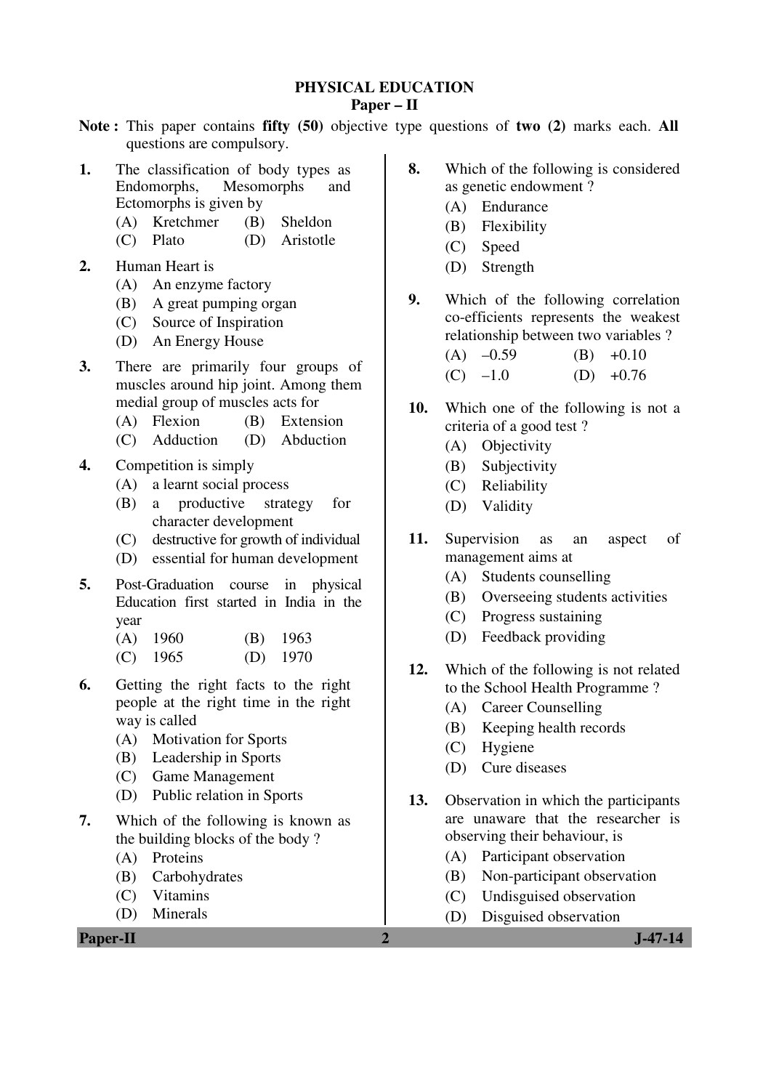# **PHYSICAL EDUCATION**

## **Paper – II**

- **Note :** This paper contains **fifty (50)** objective type questions of **two (2)** marks each. **All** questions are compulsory.
- **1.** The classification of body types as<br>Endomorphs. Mesomorphs and Mesomorphs and Ectomorphs is given by
	- (A) Kretchmer (B) Sheldon
	- (C) Plato (D) Aristotle
- **2.** Human Heart is
	- (A) An enzyme factory
	- (B) A great pumping organ
	- (C) Source of Inspiration
	- (D) An Energy House
- **3.** There are primarily four groups of muscles around hip joint. Among them medial group of muscles acts for
	- (A) Flexion (B) Extension
	- (C) Adduction (D) Abduction
- **4.** Competition is simply
	- (A) a learnt social process
	- (B) a productive strategy for character development
	- (C) destructive for growth of individual
	- (D) essential for human development
- **5.** Post-Graduation course in physical Education first started in India in the year
	- (A) 1960 (B) 1963
	- (C) 1965 (D) 1970
- **6.** Getting the right facts to the right people at the right time in the right way is called
	- (A) Motivation for Sports
	- (B) Leadership in Sports
	- (C) Game Management
	- (D) Public relation in Sports
- **7.** Which of the following is known as the building blocks of the body ?
	- (A) Proteins
	- (B) Carbohydrates
	- (C) Vitamins
	- (D) Minerals

**Paper-II** J-47-14

- **8.** Which of the following is considered as genetic endowment ?
	- (A) Endurance
	- (B) Flexibility
	- (C) Speed
	- (D) Strength
- **9.** Which of the following correlation co-efficients represents the weakest relationship between two variables ?
	- $(A)$  –0.59 (B) +0.10  $(C)$  –1.0 (D) +0.76
- **10.** Which one of the following is not a criteria of a good test ?
	- (A) Objectivity
	- (B) Subjectivity
	- (C) Reliability
	- (D) Validity
- **11.** Supervision as an aspect of management aims at
	- (A) Students counselling
	- (B) Overseeing students activities
	- (C) Progress sustaining
	- (D) Feedback providing
- **12.** Which of the following is not related to the School Health Programme ?
	- (A) Career Counselling
	- (B) Keeping health records
	- (C) Hygiene
	- (D) Cure diseases
- **13.** Observation in which the participants are unaware that the researcher is observing their behaviour, is
	- (A) Participant observation
	- (B) Non-participant observation
	- (C) Undisguised observation
	- (D) Disguised observation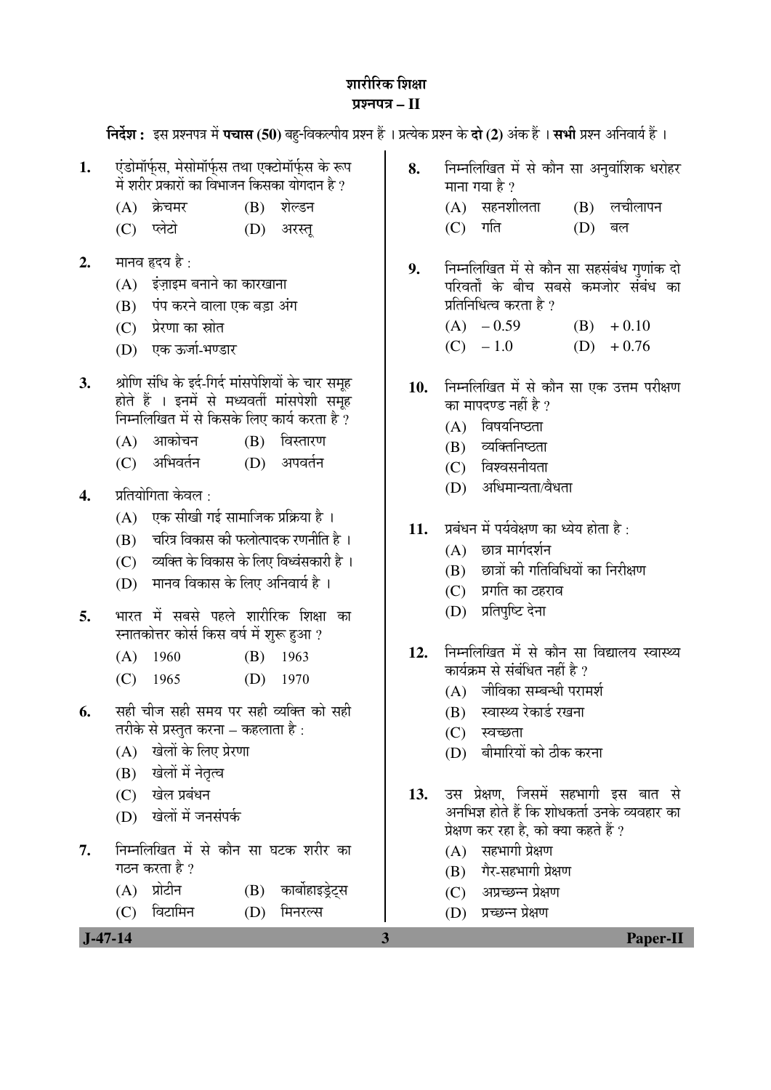## <u>जारीरिक जिक्षा</u> ¯ÖÏ¿®Ö¯Ö¡Ö **– II**

**निर्देश :** इस प्रश्नपत्र में **पचास (50)** बह-विकल्पीय प्रश्न हैं । प्रत्येक प्रश्न के **दो (2)** अंक हैं । सभी प्रश्न अनिवार्य हैं ।

- 1. <u>· एंडोमॉर्फस. मेसोमॉर्फस तथा एक्टोमॉर्फस के रूप</u> में शरीर प्रकारों का विभाजन किसका योगदान है ?
	- $(A)$  क्रेचमर  $(B)$  शेल्डन
	- (C) प्लेटो (D) अरस्त
- **2.** मानव हृदय है :
	- $(A)$  इंजाइम बनाने का कारखाना
	- $(B)$  पंप करने वाला एक बड़ा अंग
	- $(C)$  प्रेरणा का स्रोत
	- (D) एक ऊर्जा-भण्डार
- 3. Albu संधि के इर्द-गिर्द मांसपेशियों के चार समूह होते हैं । इनमें से मध्यवर्ती मांसपेशी समूह निम्नलिखित में से किसके लिए कार्य करता है  $\overline{?}$ 
	- (A) आकोचन (B) विस्तारण
	- $(C)$  अभिवर्तन  $(D)$  अपवर्तन
- **4.** प्रतियोगिता केवल ·
	- $(A)$  एक सीखी गई सामाजिक प्रक्रिया है)।
	- $(B)$  वरित्र विकास की फलोत्पादक रणनीति है।
	- $(C)$  व्यक्ति के विकास के लिए विध्वंसकारी है।
	- (D) मानव विकास के लिए अनिवार्य है।
- **5.** भारत में सबसे पहले शारीरिक शिक्षा का स्नातकोत्तर कोर्स किस वर्ष में शरू हुआ ?
	- (A) 1960 (B) 1963
	- (C) 1965 (D) 1970
- **6.** सही चीज सही समय पर सही व्यक्ति को सही तरीके से प्रस्तुत करना – कहलाता है :
	- (A) खेलों के लिए प्रेरणा
	- (B) खेलों में नेतृत्व
	- $(C)$  खेल प्रबंधन
	- $(D)$  खेलों में जनसंपर्क
- 7. निम्नलिखित में से कौन सा घटक शरीर का गठन करता है ?
	- (A) प्रोटीन (B) कार्बोहाइडेट्स
	- (C) विटामिन (D) मिनरल्स
- 8. Fiम्नलिखित में से कौन सा अनुवांशिक धरोहर माना गया है ?
	- $(A)$  सहनशीलता  $(B)$  लचीलापन (C) गति (D) बल
- 9. Fiम्नलिखित में से कौन सा सहसंबंध गुणांक दो परिवर्तों के बीच सबसे कमजोर संबंध का प्रतिनिधित्व करता है ?
	- $(A)$  0.59 (B) + 0.10  $(C) -1.0$  (D)  $+0.76$
- 10. निम्नलिखित में से कौन सा एक उत्तम परीक्षण का मापदण्ड नहीं है  $\overline{?}$ 
	- $(A)$  विषयनिष्ठता
	- $(B)$  व्यक्तिनिष्ठता
	- $(C)$  विश्वसनीयता
	- $(D)$  अधिमान्यता/वैधता
- 11. प्रबंधन में पर्यवेक्षण का ध्येय होता है:
	- $(A)$  छात्र मार्गदर्शन
	- $(B)$  छात्रों की गतिविधियों का निरीक्षण
	- $(C)$  प्रगति का ठहराव
	- (D) प्रतिपुष्टि देना
- 12. निम्नलिखित में से कौन सा विद्यालय स्वास्थ्य कार्यक्रम से संबंधित नहीं है ?
	- $(A)$  जीविका सम्बन्धी परामर्श
	- (B) स्वास्थ्य रेकार्ड रखना
	- $(C)$  स्वच्छता
	- (D) बीमारियों को ठीक करना
- 13. उस प्रेक्षण, जिसमें सहभागी इस बात से अनभिज्ञ होते हैं कि शोधकर्ता उनके व्यवहार का प्रेक्षण कर रहा है. को क्या कहते हैं ?
	- $(A)$  सहभागी प्रेक्षण
	- (B) गैर-सहभागी प्रेक्षण
	- (C) अप्रच्छन्न प्रेक्षण
	- (D) प्रच्छन्न प्रेक्षण

 **J-47-14 3 Paper-II**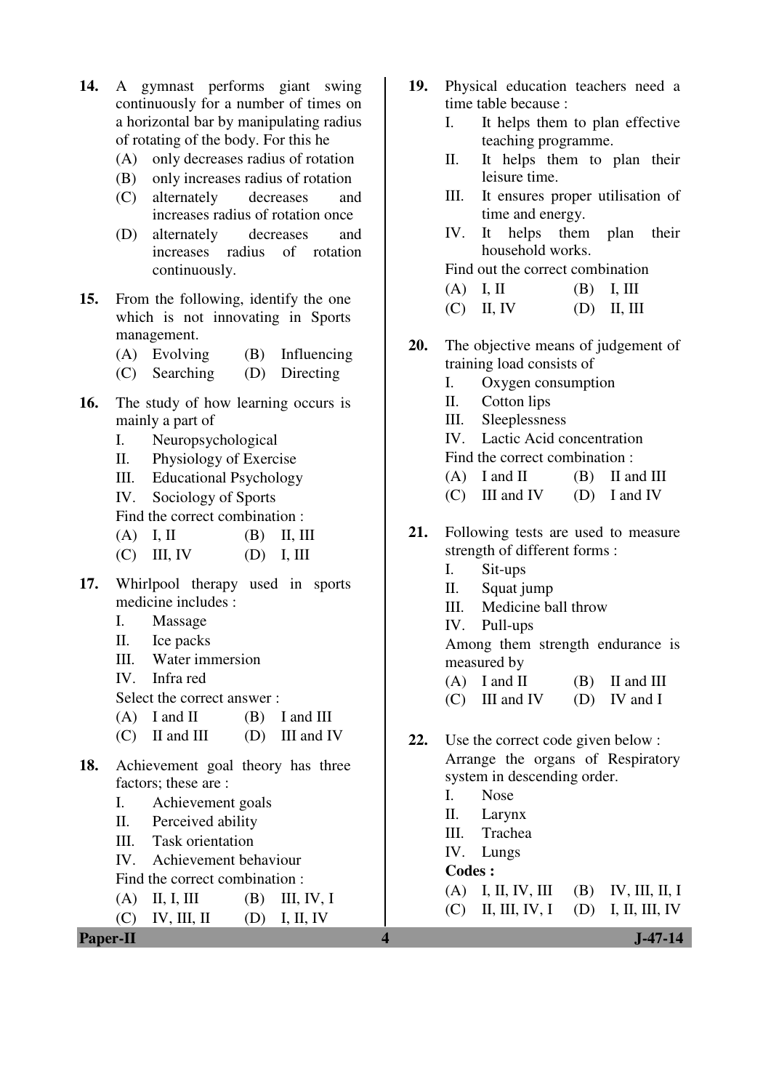- **14.** A gymnast performs giant swing continuously for a number of times on a horizontal bar by manipulating radius of rotating of the body. For this he
	- (A) only decreases radius of rotation
	- (B) only increases radius of rotation
	- (C) alternately decreases and increases radius of rotation once
	- (D) alternately decreases and increases radius of rotation continuously.
- **15.** From the following, identify the one which is not innovating in Sports management.
	- (A) Evolving (B) Influencing
	- (C) Searching (D) Directing
- **16.** The study of how learning occurs is mainly a part of
	- I. Neuropsychological
	- II. Physiology of Exercise
	- III. Educational Psychology
	- IV. Sociology of Sports

Find the correct combination :

- (A) I, II (B) II, III
- $(C)$  III, IV  $(D)$  I, III
- **17.** Whirlpool therapy used in sports medicine includes :
	- I. Massage
	- II. Ice packs
	- III. Water immersion
	- IV. Infra red
	- Select the correct answer :
	- $(A)$  I and II  $(B)$  I and III
	- $(C)$  II and III (D) III and IV
- **18.** Achievement goal theory has three factors; these are :
	- I. Achievement goals
	- II. Perceived ability
	- III. Task orientation
	- IV. Achievement behaviour
	- Find the correct combination :
	- (A) II, I, III (B) III, IV, I
	- $(C)$  IV, III, II  $(D)$  I, II, IV
- **Paper-II** J-47-14
- **19.** Physical education teachers need a time table because :
	- I. It helps them to plan effective teaching programme.
	- II. It helps them to plan their leisure time.
	- III. It ensures proper utilisation of time and energy.
	- IV. It helps them plan their household works.

Find out the correct combination

- (A) I, II (B) I, III
- (C) II, IV (D) II, III
- **20.** The objective means of judgement of training load consists of
	- I. Oxygen consumption
	- II. Cotton lips
	- III. Sleeplessness
	- IV. Lactic Acid concentration
	- Find the correct combination :
	- $(A)$  I and II  $(B)$  II and III
	- $(C)$  III and IV  $(D)$  I and IV
- **21.** Following tests are used to measure strength of different forms :
	- I. Sit-ups
	- II. Squat jump
	- III. Medicine ball throw
	- IV. Pull-ups

 Among them strength endurance is measured by

- $(A)$  I and II  $(B)$  II and III
- $(C)$  III and IV  $(D)$  IV and I
- **22.** Use the correct code given below : Arrange the organs of Respiratory system in descending order.
	- I. Nose
	- II. Larynx
	- III. Trachea
	- IV. Lungs
	- **Codes :**

- (A) I, II, IV, III (B) IV, III, II, I
- (C) II, III, IV, I (D) I, II, III, IV
	-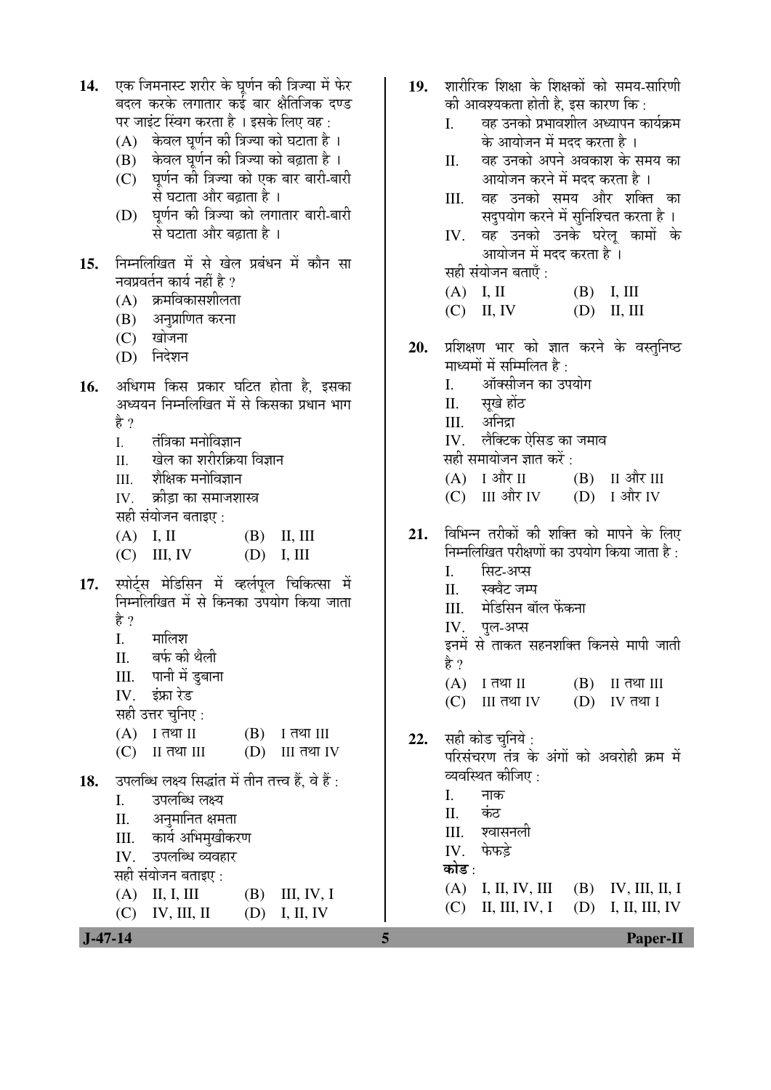| निम्नलिखित में से खेल प्रबंधन में कौन सा<br>15.<br>नवप्रवर्तन कार्य नहीं है ?<br>(A) क्रमविकासशीलता<br>(B) अनुप्राणित करना<br>(C) खोजना<br>(D) निदेशन<br>अधिगम किस प्रकार घटित होता है, इसका<br>16.                                                                                                                                                                      | सही संयोजन बताएँ :<br>$(A)$ I, II $(B)$ I, III<br>$(C)$ II, IV<br>$(D)$ II, III                                                                                                                                                                                                                                                |                                  |
|--------------------------------------------------------------------------------------------------------------------------------------------------------------------------------------------------------------------------------------------------------------------------------------------------------------------------------------------------------------------------|--------------------------------------------------------------------------------------------------------------------------------------------------------------------------------------------------------------------------------------------------------------------------------------------------------------------------------|----------------------------------|
|                                                                                                                                                                                                                                                                                                                                                                          | प्रशिक्षण भार को ज्ञात करने के वस्तुनिष्ठ<br>20.<br>माध्यमों में सम्मिलित है :                                                                                                                                                                                                                                                 |                                  |
| अध्ययन निम्नलिखित में से किसका प्रधान भाग<br>है ?<br>तंत्रिका मनोविज्ञान<br>I.<br>खेल का शरीरक्रिया विज्ञान<br>II.<br>III. शैक्षिक मनोविज्ञान<br>IV.    क्रीड़ा का समाजशास्त्र<br>सही संयोजन बताइए :                                                                                                                                                                     | ऑक्सीजन का उपयोग<br>I.<br>II. सूखे होंठ<br>III. अनिद्रा<br>लैक्टिक ऐसिड का जमाव<br>IV.<br>सही समायोजन ज्ञात करें :<br>(A) I और II<br>(C) III और IV                                                                                                                                                                             | $(B)$ II और III<br>(D) I और IV   |
| $(A)$ I, II $(B)$ II, III<br>$(C)$ III, IV<br>(D)<br>I, III<br>स्पोर्ट्स मेडिसिन में व्हर्लपूल चिकित्सा में<br>17.<br>निम्नलिखित में से किनका उपयोग किया जाता<br>है ?<br>मालिश<br>I.<br>बर्फ की थैली<br>П.<br>पानी में डुबाना<br>Ш.<br>इंफ्रा रेड<br>IV.<br>सही उत्तर चुनिए:<br>(A)<br>I तथा II<br>(B)<br>I तथा III<br>$II$ तथा $III$<br>(C)<br>(D)<br><b>III</b> तथा IV | विभिन्न तरीकों की शक्ति को मापने के लिए<br>21.<br>निम्नलिखित परीक्षणों का उपयोग किया जाता है :<br>सिट-अप्स<br>I.<br>स्क्वेट जम्प<br>П.<br>मेडिसिन बॉल फेंकना<br>III.<br>IV. पुल-अप्स<br>इनमें से ताकत सहनशक्ति किनसे मापी जाती<br>है ?<br>(A)<br>I तथा II<br>(B)<br>(C)<br><b>III</b> तथा IV<br>(D)<br>सही कोड चुनिये :<br>22. | II तथा III<br>IV तथा I           |
| उपलब्धि लक्ष्य सिद्धांत में तीन तत्त्व हैं, वे हैं :<br>18.<br>उपलब्धि लक्ष्य<br>Ι.<br>अनुमानित क्षमता<br>II.<br>कार्य अभिमुखीकरण<br>III.<br>उपलब्धि व्यवहार<br>IV.<br>सही संयोजन बताइए :<br>(A)<br>II, I, III<br>(B)<br>III, IV, I<br>(C)<br>IV, III, II<br>(D)<br>I, II, IV<br>$J-47-14$<br>5                                                                          | परिसंचरण तंत्र के अंगों को अवरोही क्रम में<br>व्यवस्थित कीजिए :<br>Ι.<br>नाक<br>कंठ<br>Π.<br>श्वासनली<br>III.<br>फेफड़े<br>IV.<br>कोड :<br>(A)<br>I, II, IV, III<br>(B)<br>II, III, IV, I<br>(D)<br>(C)                                                                                                                        | IV, III, II, I<br>I, II, III, IV |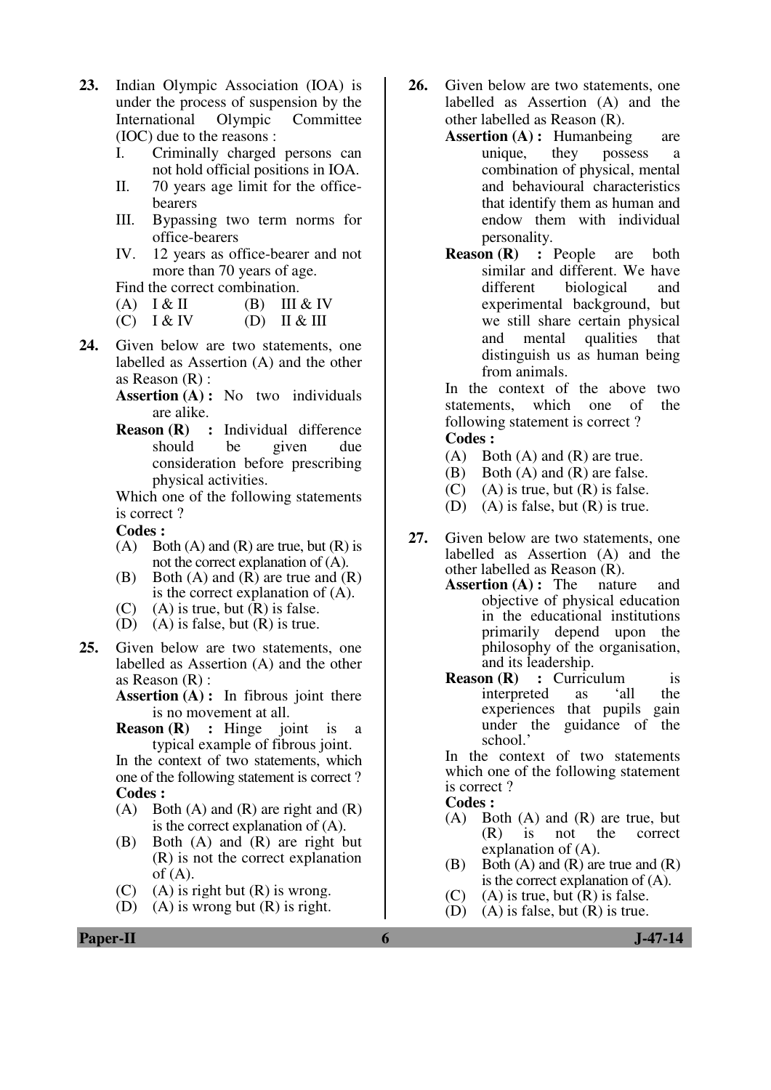- **23.** Indian Olympic Association (IOA) is under the process of suspension by the International Olympic Committee (IOC) due to the reasons :
	- I. Criminally charged persons can not hold official positions in IOA.
	- II. 70 years age limit for the officebearers
	- III. Bypassing two term norms for office-bearers
	- IV. 12 years as office-bearer and not more than 70 years of age.

Find the correct combination.

- (A)  $I & II$  (B) III  $& IV$
- $(C)$   $I & W$   $(D)$   $II & H$
- **24.** Given below are two statements, one labelled as Assertion (A) and the other as Reason (R) :
	- **Assertion (A) :** No two individuals are alike.
	- **Reason (R) :** Individual difference should be given due consideration before prescribing physical activities.

 Which one of the following statements is correct ?

#### **Codes :**

- $(A)$  Both  $(A)$  and  $(R)$  are true, but  $(R)$  is not the correct explanation of (A).
- (B) Both  $(A)$  and  $(R)$  are true and  $(R)$ is the correct explanation of (A).
- (C) (A) is true, but  $(R)$  is false.
- (D) (A) is false, but  $(R)$  is true.
- **25.** Given below are two statements, one labelled as Assertion (A) and the other as Reason (R) :

**Assertion (A):** In fibrous joint there is no movement at all.

 **Reason (R) :** Hinge joint is a typical example of fibrous joint.

In the context of two statements, which one of the following statement is correct ?  **Codes :**

- $(A)$  Both  $(A)$  and  $(R)$  are right and  $(R)$ is the correct explanation of (A).
- (B) Both (A) and (R) are right but (R) is not the correct explanation of  $(A)$ .
- (C) (A) is right but  $(R)$  is wrong.
- (D) (A) is wrong but  $(R)$  is right.
- **26.** Given below are two statements, one labelled as Assertion (A) and the other labelled as Reason (R).
	- **Assertion (A) :** Humanbeing are unique, they possess a combination of physical, mental and behavioural characteristics that identify them as human and endow them with individual personality.
	- **Reason (R) :** People are both similar and different. We have different biological and experimental background, but we still share certain physical and mental qualities that distinguish us as human being from animals.

In the context of the above two statements, which one of the following statement is correct ? **Codes :**

- (A) Both (A) and (R) are true.
- (B) Both (A) and (R) are false.
- $(C)$  (A) is true, but  $(R)$  is false.
- (D) (A) is false, but (R) is true.
- **27.** Given below are two statements, one labelled as Assertion (A) and the other labelled as Reason (R).
	- **Assertion (A) :** The nature and objective of physical education in the educational institutions primarily depend upon the philosophy of the organisation, and its leadership.
	- **Reason (R) :** Curriculum is interpreted as 'all the experiences that pupils gain under the guidance of the school.'

In the context of two statements which one of the following statement is correct ?

### **Codes :**

- (A) Both (A) and (R) are true, but (R) is not the correct explanation of (A).
- (B) Both  $(A)$  and  $(R)$  are true and  $(R)$ is the correct explanation of (A).
- $(C)$  (A) is true, but  $(R)$  is false.
- (D) (A) is false, but  $(R)$  is true.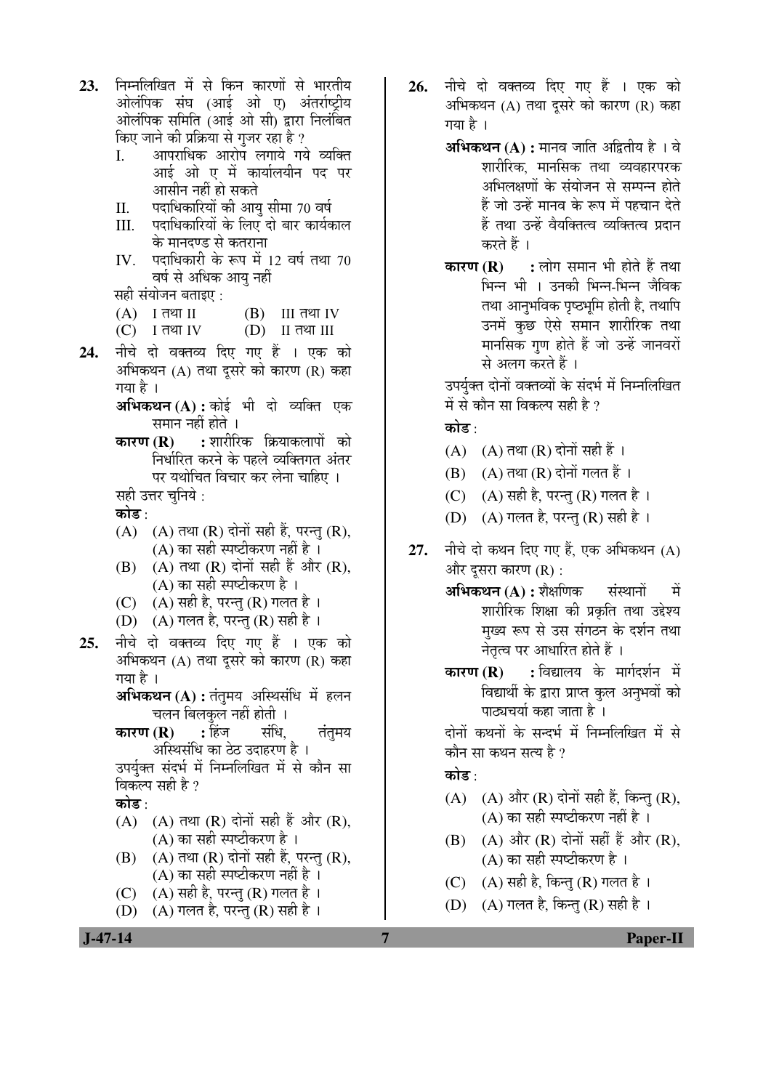- 23. निम्नलिखित में से किन कारणों से भारतीय ओलंपिक संघ (आई ओ ए) अंतर्राष्ट्रीय ओलंपिक समिति (आई ओ सी) द्वारा निलंबित किए जाने की प्रक्रिया से गुजर रहा है ? I. • आपराधिक आरोप लगाये गये व्यक्ति
	- आई ओ ए में कार्यालयीन पद पर आसीन नहीं हो सकते
	- II. पदाधिकारियों की आयु सीमा 70 वर्ष
	- III. पदाधिकारियों के लिए दो बार कार्यकाल के मानदण्ड से कतराना
	- $IV.$  पदाधिकारी के रूप में 12 वर्ष तथा 70 वर्ष से अधिक आयु नहीं

सही संयोजन बताइए :

- $(A)$  I तथा II  $(B)$  III तथा IV
- $(C)$  I तथा IV  $(D)$  II तथा III
- **24.** नीचे दो वक्तव्य दिए गए हैं । एक को अभिकथन (A) तथा दूसरे को कारण (R) कहा गया है ।
	- $\mathbf{M}\mathbf{\hat{H}}$ कथन $(\mathbf{A})$ : कोई भी दो व्यक्ति एक समान नहीं होते ।
	- **कारण (R) :** शारीरिक क्रियाकलापों को निर्धारित करने के पहले व्यक्तिगत अंतर पर यथोचित विचार कर लेना चाहिए । सही उत्तर चनिये :

कोड :

- $(A)$   $(A)$  तथा  $(R)$  दोनों सही हैं, परन्तु  $(R)$ , (A) का सही स्पष्टीकरण नहीं है $\perp$
- (B)  $(A)$  तथा  $(R)$  दोनों सही हैं और  $(R)$ , (A) का सही स्पष्टीकरण है $\,$  ।
- (C)  $(A)$  सही है, परन्तु (R) गलत है ।
- (D) (A) गलत है, परन्तु (R) सही है।
- **25.** नीचे दो वक्तव्य दिए गए हैं । एक को अभिकथन  $(A)$  तथा दसरे को कारण  $(R)$  कहा गया है ।

**अभिकथन (A) :** तंतुमय अस्थिसंधि में हलन <u>चलन बिलकुल नहीं होती ।</u>

**कारण (R) :** हिंज संधि, तंतमय अस्थिसंधि का ठेठ उदाहरण है ।

उपर्युक्त संदर्भ में निम्नलिखित में से कौन सा विकल्प सही है ?

कोड़ ·

- (A)  $(A)$  तथा (R) दोनों सही हैं और (R), (A) का सही स्पष्टीकरण है $\perp$
- $(B)$   $(A)$  तथा  $(R)$  दोनों सही हैं, परन्तु  $(R)$ , (A) का सही स्पष्टीकरण नहीं है $\overline{\phantom{a}}$ ।
- (C)  $(A)$  सही है, परन्तु (R) गलत है ।
- (D)  $(A)$  गलत है, परन्तु (R) सही है ।
- 26. नीचे दो वक्तव्य दिए गए हैं । एक को अभिकथन  $(A)$  तथा दसरे को कारण  $(R)$  कहा गया है ।
	- **अभिकथन (A) :** मानव जाति अद्वितीय है । वे शारीरिक. मानसिक तथा व्यवहारपरक अभिलक्षणों के संयोजन से सम्पन्न होते हैं जो उन्हें मानव के रूप में पहचान देते हैं तथा उन्हें वैयक्तित्व व्यक्तित्व प्रदान करते हैं ।
	- **कारण (R) :** लोग समान भी होते हैं तथा भिन्न भी । उनकी भिन्न-भिन्न जैविक तथा आनुभविक पृष्ठभूमि होती है, तथापि उनमें कुछ ऐसे समान शारीरिक तथा मानसिक गण होते हैं जो उन्हें जानवरों से अलग करते हैं ।

उपर्यक्त दोनों वक्तव्यों के संदर्भ में निम्नलिखित में से कौन सा विकल्प सही है ?

# कोड़<sup>.</sup>

- (A)  $(A)$  तथा (R) दोनों सही हैं ।
- $(B)$   $(A)$  तथा  $(R)$  दोनों गलत हैं ।
- (C) (A) सही है, परन्तु (R) गलत है।
- (D)  $(A)$  गलत है, परन्तु (R) सही है।
- 27. नीचे दो कथन दिए गए हैं. एक अभिकथन (A) और दुसरा कारण (R) :

**अभिकथन (A) :** शैक्षणिक संस्थानों में शारीरिक शिक्षा की प्रकृति तथा उद्देश्य मुख्य रूप से उस संगठन के दर्शन तथा नेतृत्व पर आधारित होते हैं ।

**कारण (R) :** विद्यालय के मार्गदर्शन में विद्यार्थी के द्वारा प्राप्त कल अनुभवों को पाठ्यचर्या कहा जाता है ।

दोनों कथनों के सन्दर्भ में निम्नलिखित में से कौन सा कथन सत्य है ?

# कोड़<sup>.</sup>

- $(A)$   $(A)$  और  $(R)$  दोनों सही हैं, किन्तु  $(R)$ ,  $(A)$  का सही स्पष्टीकरण नहीं है ।
- $(B)$   $(A)$  और  $(R)$  दोनों सहीं हैं और  $(R)$ ,  $(A)$  का सही स्पष्टीकरण है ।
- (C)  $(A)$  सही है, किन्तु (R) गलत है ।
- (D)  $(A)$  गलत है, किन्तु (R) सही है ।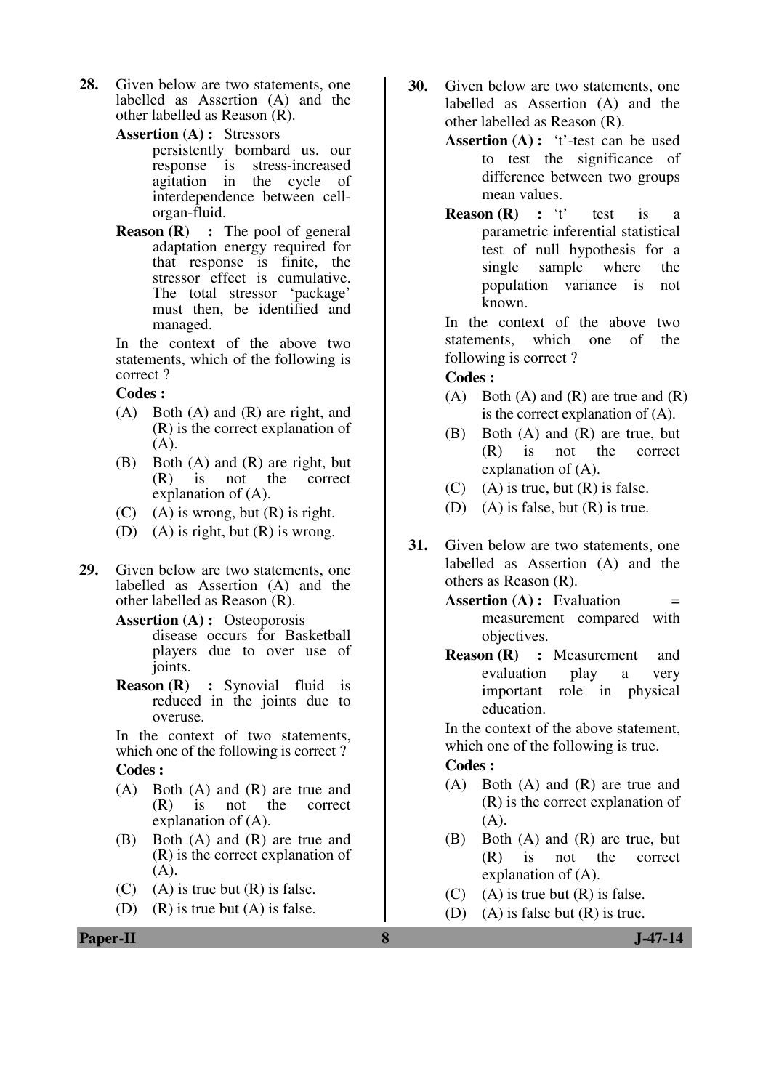- **28.** Given below are two statements, one labelled as Assertion (A) and the other labelled as Reason (R).
	- **Assertion (A) :** Stressors

persistently bombard us. our response is stress-increased agitation in the cycle of interdependence between cellorgan-fluid.

**Reason (R)** : The pool of general adaptation energy required for that response is finite, the stressor effect is cumulative. The total stressor 'package' must then, be identified and managed.

In the context of the above two statements, which of the following is correct ?

**Codes :** 

- (A) Both (A) and (R) are right, and (R) is the correct explanation of  $(A).$
- (B) Both (A) and (R) are right, but (R) is not the correct explanation of (A).
- (C) (A) is wrong, but  $(R)$  is right.
- (D) (A) is right, but  $(R)$  is wrong.
- **29.** Given below are two statements, one labelled as Assertion (A) and the other labelled as Reason (R).

**Assertion (A) :** Osteoporosis disease occurs for Basketball players due to over use of joints.

 **Reason (R) :** Synovial fluid is reduced in the joints due to overuse.

In the context of two statements, which one of the following is correct ? **Codes :** 

- (A) Both (A) and (R) are true and (R) is not the correct  $(R)$  is not explanation of (A).
- (B) Both (A) and (R) are true and (R) is the correct explanation of (A).
- (C) (A) is true but  $(R)$  is false.
- (D) (R) is true but (A) is false.
- **30.** Given below are two statements, one labelled as Assertion (A) and the other labelled as Reason (R).
	- **Assertion (A) :** 't'-test can be used to test the significance of difference between two groups mean values.
	- **Reason (R)** : 't' test is a parametric inferential statistical test of null hypothesis for a single sample where the population variance is not known.

In the context of the above two statements, which one of the following is correct ?

## **Codes :**

- (A) Both (A) and (R) are true and  $(R)$ is the correct explanation of (A).
- (B) Both (A) and (R) are true, but (R) is not the correct explanation of (A).
- $(C)$  (A) is true, but  $(R)$  is false.
- (D) (A) is false, but  $(R)$  is true.
- **31.** Given below are two statements, one labelled as Assertion (A) and the others as Reason (R).
	- **Assertion (A) :** Evaluation = measurement compared with objectives.
	- **Reason (R) :** Measurement and evaluation play a very important role in physical education.

In the context of the above statement, which one of the following is true.

## **Codes :**

- (A) Both (A) and (R) are true and (R) is the correct explanation of (A).
- (B) Both (A) and (R) are true, but (R) is not the correct explanation of (A).
- (C) (A) is true but  $(R)$  is false.
- (D) (A) is false but  $(R)$  is true.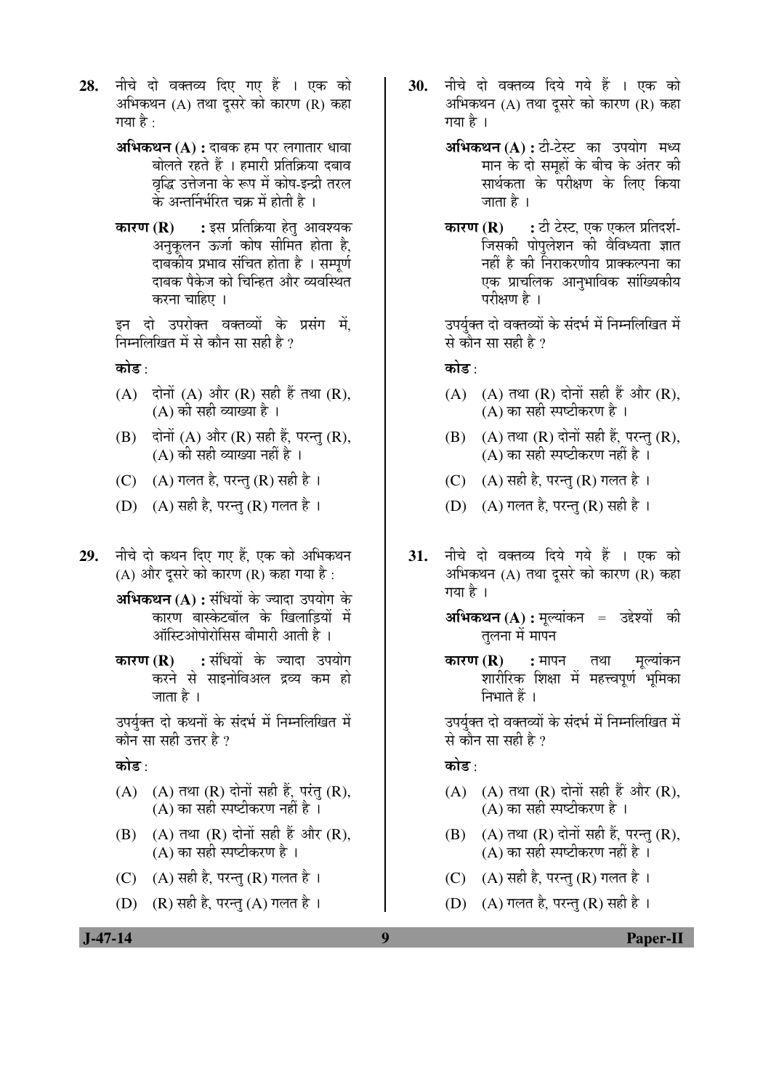- 28. नीचे दो वक्तव्य दिए गए हैं । एक को अभिकथन  $(A)$  तथा दुसरे को कारण  $(R)$  कहा गया है $\cdot$ 
	- **अभिकथन (A) :** दाबक हम पर लगातार धावा बोलते रहते हैं । हमारी प्रतिक्रिया दबाव वृद्धि उत्तेजना के रूप में कोष-इन्द्री तरल के अन्तर्निर्भरित चक्र में होती है ।
	- **कारण (R) :** इस प्रतिक्रिया हेत् आवश्यक अनुकूलन ऊर्जा कोष सीमित होता है, दाबकीय प्रभाव संचित होता है । सम्पर्ण दाबक पैकेज को चिन्हित और व्यवस्थित करना चाहिए ।

इन दो उपरोक्त वक्तव्यों के प्रसंग में निम्नलिखित में से कौन सा सही है  $\overline{v}$ 

कोड़ $\cdot$ 

- $(A)$  दोनों  $(A)$  और  $(R)$  सही हैं तथा  $(R)$ , (A) की सही व्याख्या है ।
- (B) दोनों (A) और (R) सही हैं, परन्तु (R),  $(A)$  की सही व्याख्या नहीं है ।
- (C)  $(A)$  गलत है, परन्त $(R)$  सही है।
- (D)  $(A)$  सही है, परन्त $(R)$  गलत है।
- 29. नीचे दो कथन दिए गए हैं. एक को अभिकथन (A) और दूसरे को कारण (R) कहा गया है:

**अभिकथन (A) :** संधियों के ज्यादा उपयोग के <u>कारण बास्केटबॉल के खिलाडियों में</u> ऑस्टिओपोरोसिस बीमारी आती है ।

**कारण (R) :** संधियों के ज्यादा उपयोग करने से साइनोविअल द्रव्य कम हो जाता है ।

उपर्युक्त दो कथनों के संदर्भ में निम्नलिखित में कौन सा सही उत्तर है ?

कोड़<sup>.</sup>

- $(A)$   $(A)$  तथा  $(R)$  दोनों सही हैं, परंतु  $(R)$ , (A) का सही स्पष्टीकरण नहीं है $\,$  ।
- (B)  $(A)$  तथा  $(R)$  दोनों सही हैं और  $(R)$ , (A) का सही स्पष्टीकरण है $\perp$
- (C)  $(A)$  सही है, परन्तु (R) गलत है।
- $(D)$   $(R)$  सही है, परन्तु  $(A)$  गलत है।
- 30. नीचे दो वक्तव्य दिये गये हैं । एक को अभिकथन (A) तथा दुसरे को कारण (R) कहा गया है ।
	- **अभिकथन (A) :** टी-टेस्ट का उपयोग मध्य मान के दो समहों के बीच के अंतर की सार्थकता के परीक्षण के लिए किया जाता है ।
	- **कारण (R) :** टी टेस्ट, एक एकल प्रतिदर्श-जिसकी पोपलेशन की वैविध्यता ज्ञात नहीं है की निराकरणीय प्राक्कल्पना का एक प्राचलिक आनृभाविक सांख्यिकीय परीक्षण है ।

उपर्युक्त दो वक्तव्यों के संदर्भ में निम्नलिखित में से कौन सा सही है ?

कोड़ :

- $(A)$   $(A)$  तथा  $(R)$  दोनों सही हैं और  $(R)$ , (A) का सही स्पष्टीकरण है $\,$  ।
- $(B)$   $(A)$  तथा  $(R)$  दोनों सही हैं, परन्तु  $(R)$ , (A) का सही स्पष्टीकरण नहीं है ।
- (C)  $(A)$  सही है, परन्त $(R)$  गलत है।
- (D)  $(A)$  गलत है, परन्त $(R)$  सही है।
- 31. नीचे दो वक्तव्य दिये गये हैं । एक को अभिकथन (A) तथा दुसरे को कारण (R) कहा गया है ।
	- **अभिकथन (A) :** मुल्यांकन = उद्देश्यों की तुलना में मापन
	- **कारण (R) :** मापन तथा मल्यांकन शारीरिक शिक्षा में महत्त्वपूर्ण भूमिका निभाते हैं ।

उपर्युक्त दो वक्तव्यों के संदर्भ में निम्नलिखित में से कौन सा सही है ?

कोड<sup>़</sup>

- $(A)$   $(A)$  तथा  $(R)$  दोनों सही हैं और  $(R)$ , (A) का सही स्पष्टीकरण है $\perp$
- $(B)$   $(A)$  तथा  $(R)$  दोनों सही हैं, परन्तु  $(R)$ , (A) का सही स्पष्टीकरण नहीं है ।
- (C)  $(A)$  सही है, परन्तु (R) गलत है।
- (D)  $(A)$  गलत है, परन्तु (R) सही है।

 **J-47-14 9 Paper-II**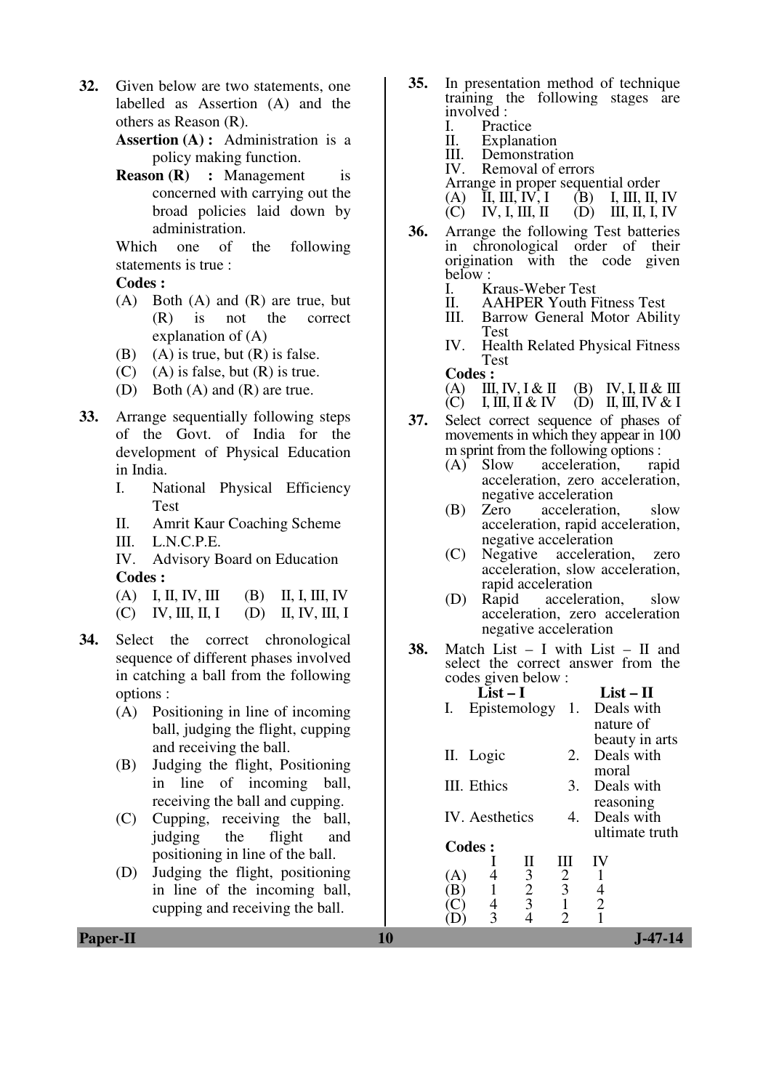**32.** Given below are two statements, one labelled as Assertion (A) and the others as Reason (R).

> **Assertion (A) :** Administration is a policy making function.

> **Reason (R) :** Management is concerned with carrying out the broad policies laid down by administration.

> Which one of the following statements is true :

**Codes :** 

- (A) Both (A) and (R) are true, but (R) is not the correct explanation of (A)
- (B) (A) is true, but  $(R)$  is false.
- $(C)$  (A) is false, but  $(R)$  is true.
- (D) Both (A) and (R) are true.
- **33.** Arrange sequentially following steps of the Govt. of India for the development of Physical Education in India.
	- I. National Physical Efficiency Test
	- II. Amrit Kaur Coaching Scheme
	-

III. L.N.C.P.E.<br>IV. Advisory B Advisory Board on Education **Codes :** 

| (A) I, II, IV, III (B) II, I, III, IV |  |
|---------------------------------------|--|
| (C) IV, III, II, I (D) II, IV, III, I |  |

- **34.** Select the correct chronological sequence of different phases involved in catching a ball from the following options :
	- (A) Positioning in line of incoming ball, judging the flight, cupping and receiving the ball.
	- (B) Judging the flight, Positioning in line of incoming ball, receiving the ball and cupping.
	- (C) Cupping, receiving the ball, judging the flight and positioning in line of the ball.
	- (D) Judging the flight, positioning in line of the incoming ball, cupping and receiving the ball.
- **35.** In presentation method of technique training the following stages are involved :<br>I. Prac
	- I. Practice<br>II. Explana
	- **Explanation**
	- III. Demonstration<br>IV. Removal of erre
	- Removal of errors
	- Arrange in proper sequential order<br>(A) II, III, IV, I (B) I, III, II, IV
- (A) II, III, IV, I (B) I, III, II, IV  $(C)$  IV, I, III, II  $(D)$  III, II, I, IV
- **36.** Arrange the following Test batteries in chronological order of their origination with the code given below :
	- I. Kraus-Weber Test<br>II. AAHPER Youth F
	- II. AAHPER Youth Fitness Test<br>III. Barrow General Motor Abili
	- Barrow General Motor Ability Test
	- IV. Health Related Physical Fitness Test
	- **Codes :**<br> **(A) III**, **IV**, **I** & **II**
	- (A) III, IV, I & II (B) IV, I, II & III<br>(C) I, III, II & IV (D) II, III, IV & I  $(D)$  II, III, IV & I
- **37.** Select correct sequence of phases of movements in which they appear in 100 m sprint from the following options :<br>(A) Slow acceleration. rapid
	- Slow acceleration. acceleration, zero acceleration, negative acceleration<br>Zero acceleration
	- (B) Zero acceleration, slow acceleration, rapid acceleration, negative acceleration
	- (C) Negative acceleration, zero acceleration, slow acceleration, rapid acceleration
	- (D) Rapid acceleration, slow acceleration, zero acceleration negative acceleration
- **38.** Match List I with List II and select the correct answer from the codes given below :

|     |             | List – I        |                | List $-$ H     |
|-----|-------------|-----------------|----------------|----------------|
| Ι.  |             | Epistemology 1. |                | Deals with     |
|     |             |                 |                | nature of      |
|     |             |                 |                | beauty in arts |
|     | II. Logic   |                 | 2.             | Deals with     |
|     |             |                 |                | moral          |
|     | III. Ethics |                 | 3.             | Deals with     |
|     |             |                 |                | reasoning      |
|     |             | IV. Aesthetics  | 4.             | Deals with     |
|     |             |                 |                | ultimate truth |
|     | Codes:      |                 |                |                |
|     |             | Н               | Ш              |                |
| (A) |             | $\frac{3}{2}$   | 2              |                |
| В   |             |                 | $\overline{3}$ |                |
|     |             | $\overline{3}$  |                | $\overline{2}$ |
|     |             |                 |                |                |

**Paper-II** J-47-14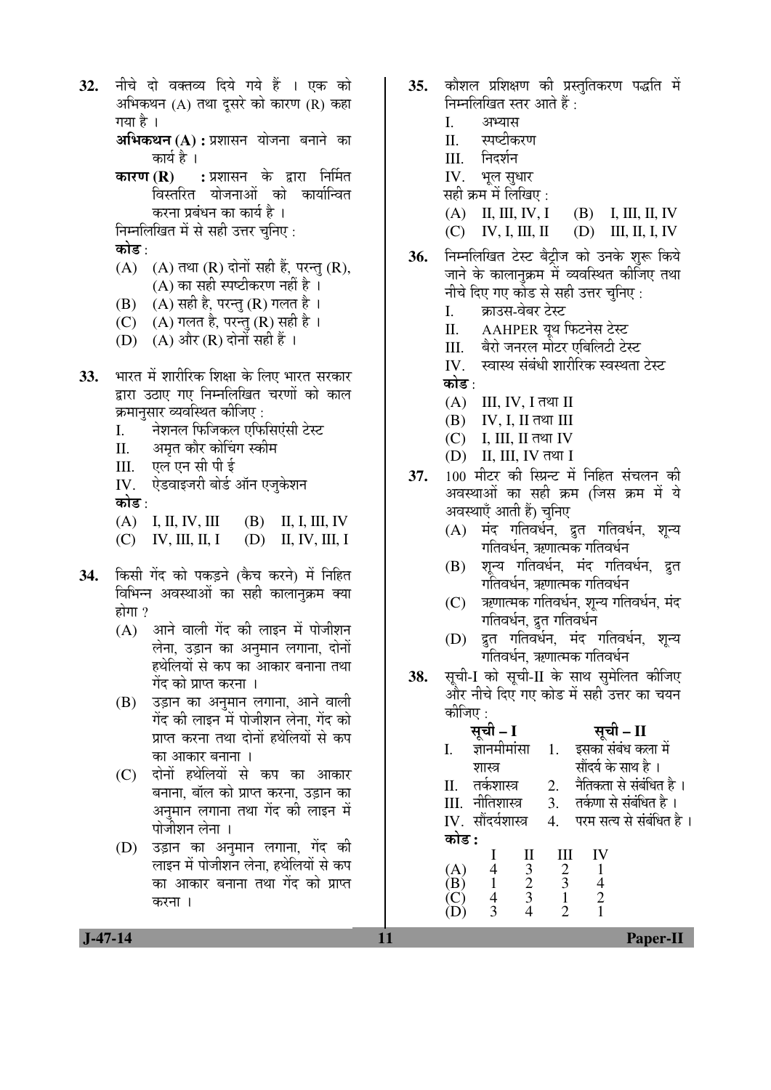32. नीचे दो वक्तव्य दिये गये हैं । एक को अभिकथन  $(A)$  तथा दुसरे को कारण  $(R)$  कहा गया है । **अभिकथन (A) :** प्रशासन योजना बनाने का कार्य है । **कारण (R) :** प्रशासन के द्वारा निर्मित विस्तरित योजनाओं को कार्यान्वित करना प्रबंधन का कार्य है । निम्नलिखित में से सही उत्तर चुनिए : कोड :  $(A)$   $(A)$  तथा  $(R)$  दोनों सही हैं, परन्तु  $(R)$ , (A) का सही स्पष्टीकरण नहीं है । (B)  $(A)$  सही है, परन्तु (R) गलत है । (C)  $(A)$  गलत है, परन्तु (R) सही है । (D)  $(A)$  और  $(R)$  दोनों सही हैं । 33. भारत में शारीरिक शिक्षा के लिए भारत सरकार द्वारा उठाए गए निम्नलिखित चरणों को काल क्रमानुसार व्यवस्थित कीजिए : I. नेशनल फिजिकल एफिसिएंसी टेस्ट II. अमत कौर कोचिंग स्कीम III. एल एन सी पी ई IV. ऐडवाइजरी बोर्ड ऑन एजुकेशन कोड :  $(A)$  I, II, IV, III (B) II, I, III, IV  $(C)$  IV, III, II, I  $(D)$  II, IV, III, I 34. किसी गेंद को पकड़ने (कैच करने) में निहित विभिन्न अवस्थाओं का सही कालानुक्रम क्या होगा $?$  $(A)$  आने वाली गेंद की लाइन में पोजीशन लेना, उड़ान का अनुमान लगाना, दोनों

- हथेलियों से कप का आकार बनाना तथा गेंद को प्राप्त करना । (B) उड़ान का अनुमान लगाना, आने वाली
- गेंद की लाइन में पोजीशन लेना, गेंद को प्राप्त करना तथा दोनों हथेलियों से कप का आकार बनाना ।
- (C) दोनों हथेलियों से कप का आकार बनाना, बॉल को प्राप्त करना, उड़ान का अनुमान लगाना तथा गेंद की लाइन में पोजीशन लेना ।
- (D) उड़ान का अनुमान लगाना, गेंद की लाइन में पोजीशन लेना, हथेलियों से कप का आकार बनाना तथा गेंद को प्राप्त करना ।
- 35. कौशल प्रशिक्षण की प्रस्ततिकरण पद्धति में निम्नलिखित स्तर आते हैं :
	- I. अभ्यास
	- II. स्पष्टीकरण
	- III. निदर्शन
	- IV. भूल सुधार
	- सही क्रम में लिखिए :
	- $(A)$  II, III, IV, I (B) I, III, II, IV
	- (C) IV, I, III, II (D) III, II, I, IV
- 36. निम्नलिखित टेस्ट बैट्रीज को उनके शुरू किये जाने के कालानुक्रम में व्यवस्थित कीजिए तथा नीचे दिए गए कोड से सही उत्तर चनिए :
	- I. क्राउस-वेबर टेस्ट
	- II. AAHPER यूथ फिटनेस टेस्ट
	- III. बैरो जनरल मोटर एबिलिटी टेस्ट
	- IV. स्वास्थ संबंधी शारीरिक स्वस्थता टेस्ट कोड :
	- $(A)$  III, IV, I तथा II
	- $(B)$  IV, I, II तथा III
	- $(C)$  I, III, II तथा IV
	- $(D)$  II, III, IV तथा I
- 37. 100 मीटर की स्प्रिन्ट में निहित संचलन की अवस्थाओं का सही क्रम (जिस क्रम में ये अवस्थाएँ आती हैं) चुनिए
	- (A) मंद गतिवर्धन, द्रुत गतिवर्धन, शून्य गतिवर्धन. ऋणात्मक गतिवर्धन
	- (B) शून्य गतिवर्धन, मंद गतिवर्धन, द्रुत गतिवर्धन, ऋणात्मक गतिवर्धन
	- (C) ऋणात्मक गतिवर्धन, शन्य गतिवर्धन, मंद गतिवर्धन, द्रुत गतिवर्धन
	- (D) द्रुत गतिवर्धन, मंद गतिवर्धन, शून्य गतिवर्धन. ऋणात्मक गतिवर्धन
- 38. सूची-I को सूची-II के साथ सुमेलित कीजिए और नीचे दिए गए कोड में सही उत्तर का चयन कोजिए :

|       |                    |               |                |                | – II                     |  |
|-------|--------------------|---------------|----------------|----------------|--------------------------|--|
| I.    | ज्ञानमीमांसा       |               |                |                | इसका संबंध कला में       |  |
|       | शास्त्र            |               |                |                | सौंदर्य के साथ है ।      |  |
| Π.    | तर्कशास्त्र        |               | 2.             |                | नैतिकता से संबंधित है ।  |  |
|       | III. नीतिशास्त्र   |               | 3.             |                | तर्कणा से संबंधित है ।   |  |
|       | IV. सौंदर्यशास्त्र |               |                |                | परम सत्य से संबंधित है । |  |
| कोड : |                    |               |                |                |                          |  |
|       |                    |               |                |                |                          |  |
| (A)   |                    | $\frac{3}{2}$ | $\overline{2}$ |                |                          |  |
| B)    |                    |               | 3              |                |                          |  |
|       |                    |               |                | $\overline{2}$ |                          |  |
|       |                    |               |                |                |                          |  |
|       |                    |               |                |                |                          |  |

 **J-47-14 11 Paper-II**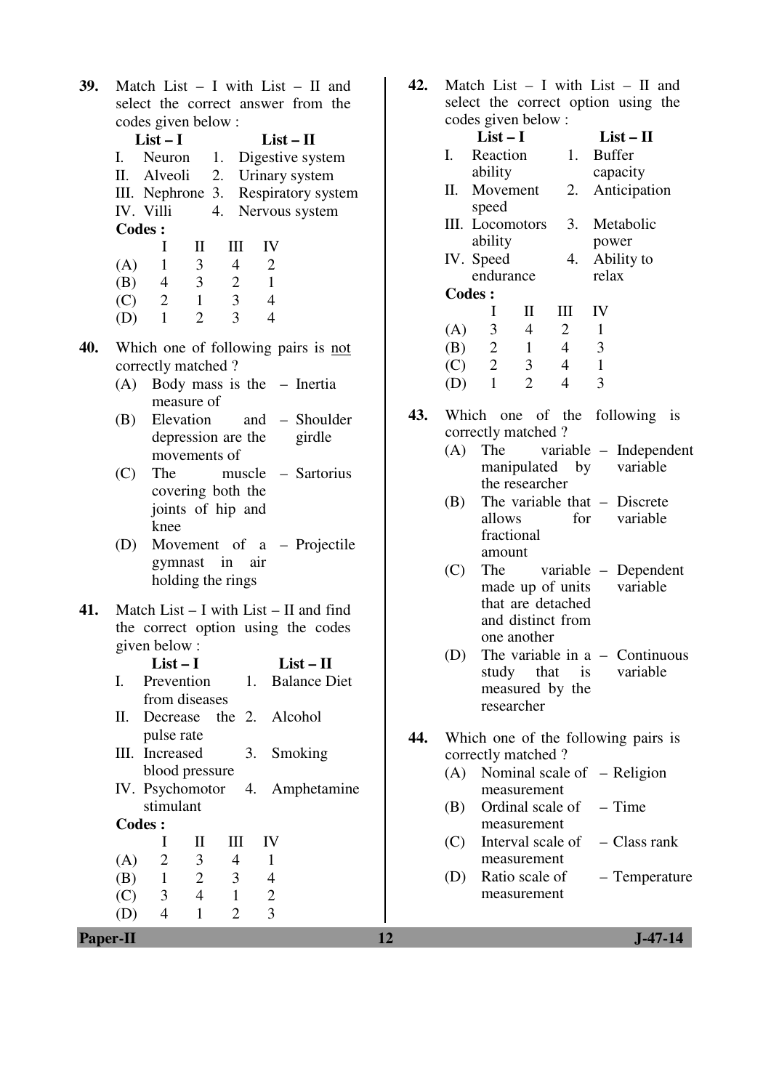| 39. | Match List $-$ I with List $-$ II and                                     | 42. | Match List $-$ I with List $-$ II and                                              |
|-----|---------------------------------------------------------------------------|-----|------------------------------------------------------------------------------------|
|     | select the correct answer from the                                        |     | select the correct option using the<br>codes given below :                         |
|     | codes given below:                                                        |     | $List-I$<br>$List-II$                                                              |
|     | $List-I$<br>$List-II$<br>I.                                               |     | 1. Buffer<br>I.<br>Reaction                                                        |
|     | 1. Digestive system<br>Neuron<br>П.<br>Alveoli                            |     | capacity<br>ability                                                                |
|     | Urinary system<br>2.                                                      |     | Movement<br>2.<br>Anticipation<br>П.                                               |
|     | III. Nephrone 3. Respiratory system<br>IV. Villi<br>4.<br>Nervous system  |     | speed                                                                              |
|     | <b>Codes:</b>                                                             |     | 3. Metabolic<br>III. Locomotors                                                    |
|     | IV<br>I<br>$\mathbf{I}$<br>Ш                                              |     | ability<br>power                                                                   |
|     | $\mathfrak{Z}$<br>$\mathbf{2}$<br>$\mathbf{1}$<br>$\overline{4}$<br>(A)   |     | IV. Speed<br>4. Ability to                                                         |
|     | 3 <sup>7</sup><br>$\overline{2}$<br>$\mathbf{1}$<br>(B)<br>$\overline{4}$ |     | endurance<br>relax                                                                 |
|     | $\overline{3}$<br>$\overline{2}$<br>$\mathbf{1}$<br>$\overline{4}$<br>(C) |     | <b>Codes:</b>                                                                      |
|     | $\overline{2}$<br>$\overline{3}$<br>$\mathbf{1}$<br>$\overline{4}$<br>(D) |     | IV<br>$\bf{I}$<br>$\mathbf{I}$<br>$\mathop{\rm III}$                               |
|     |                                                                           |     | $\mathfrak{Z}$<br>$\overline{4}$<br>$\overline{2}$<br>$\mathbf{1}$<br>(A)          |
| 40. | Which one of following pairs is not                                       |     | $2 \quad 1$<br>3<br>(B)<br>$\overline{4}$                                          |
|     | correctly matched?                                                        |     | $\overline{2}$<br>$\overline{\mathbf{3}}$<br>(C)<br>$\mathbf{1}$<br>$\overline{4}$ |
|     | (A) Body mass is the - Inertia                                            |     | $\overline{2}$<br>$\overline{3}$<br>$\mathbf{1}$<br>$\overline{4}$<br>(D)          |
|     | measure of<br>Elevation<br>(B)<br>and – Shoulder                          | 43. | Which one of the following is                                                      |
|     | depression are the<br>girdle                                              |     | correctly matched?                                                                 |
|     | movements of                                                              |     | variable - Independen<br>(A)<br>The                                                |
|     | The<br>muscle – Sartorius<br>(C)                                          |     | manipulated by<br>variable                                                         |
|     | covering both the                                                         |     | the researcher                                                                     |
|     | joints of hip and                                                         |     | The variable that $-$ Discrete<br>(B)                                              |
|     | knee                                                                      |     | allows<br>variable<br>for                                                          |
|     | Movement of a - Projectile<br>(D)                                         |     | fractional                                                                         |
|     | gymnast in air                                                            |     | amount                                                                             |
|     | holding the rings                                                         |     | The<br>variable – Dependent<br>(C)<br>made up of units<br>variable                 |
|     |                                                                           |     | that are detached                                                                  |
| 41. | Match List $-$ I with List $-$ II and find                                |     | and distinct from                                                                  |
|     | the correct option using the codes                                        |     | one another                                                                        |
|     | given below:                                                              |     | The variable in $a -$ Continuous<br>(D)                                            |
|     | $List-II$<br>List $-I$                                                    |     | variable<br>that<br>study<br>is                                                    |
|     | Prevention<br><b>Balance Diet</b><br>Ι.<br>1.<br>from diseases            |     | measured by the                                                                    |
|     | П.<br>the 2. Alcohol<br>Decrease                                          |     | researcher                                                                         |
|     | pulse rate                                                                |     |                                                                                    |
|     | III. Increased<br>3.<br>Smoking                                           | 44. | Which one of the following pairs is                                                |
|     | blood pressure                                                            |     | correctly matched?                                                                 |
|     | IV. Psychomotor<br>Amphetamine<br>4.                                      |     | Nominal scale of $-$ Religion<br>(A)<br>measurement                                |
|     | stimulant                                                                 |     | $-$ Time<br>Ordinal scale of<br>(B)                                                |
|     | <b>Codes:</b>                                                             |     | measurement                                                                        |
|     | $_{\rm II}$<br>Ш<br>IV<br>$\bf{l}$                                        |     | Interval scale of<br>- Class rank<br>(C)                                           |
|     | 3<br>$\overline{2}$<br>$\overline{4}$<br>(A)<br>1                         |     | measurement                                                                        |
|     | $\overline{2}$<br>3<br>(B)<br>$\mathbf{1}$<br>$\overline{4}$              |     | Ratio scale of<br>$-$ Temperature<br>(D)                                           |
|     | $\overline{4}$<br>$\mathbf{1}$<br>$\overline{2}$<br>(C)<br>3              |     | measurement                                                                        |
|     | 3<br>$\overline{4}$<br>$\mathbf{1}$<br>$\overline{2}$<br>(D)              |     |                                                                                    |
|     | <b>Paper-II</b>                                                           | 12  | $J - 47 - 14$                                                                      |

| select the correct option using the<br>codes given below:<br>$List-I$<br>$List-II$<br>I.<br>Reaction<br>1.<br><b>Buffer</b><br>ability<br>capacity<br>П.<br>Movement<br>2.<br>Anticipation<br>speed<br>III. Locomotors<br>3.<br>Metabolic<br>ability<br>power<br>IV. Speed<br>Ability to<br>4.<br>relax<br>endurance<br><b>Codes:</b><br>$\mathbf{I}$<br>IV<br>I<br>Ш<br>$(A)$ 3<br>$\overline{4}$<br>$\overline{2}$<br>1<br>(B) $2 \t1$<br>(C) $2 \t3$<br>$\overline{4}$<br>3<br>$\overline{\mathbf{3}}$<br>$\overline{4}$<br>$\overline{1}$<br>$(D)$ 1<br>$\overline{2}$<br>$\overline{4}$<br>3<br>43.<br>Which one of the following is<br>correctly matched?<br>The<br>variable – Independent<br>(A)<br>manipulated by variable<br>the researcher<br>The variable that $-$ Discrete<br>(B)<br>variable<br>allows<br>for<br>fractional<br>amount<br>(C)<br>The<br>variable – Dependent<br>made up of units variable<br>that are detached<br>and distinct from<br>one another<br>The variable in $a -$ Continuous<br>(D)<br>study that is variable<br>measured by the<br>researcher<br>44.<br>Which one of the following pairs is<br>correctly matched?<br>(A)<br>Nominal scale of $-$ Religion<br>measurement<br>(B) Ordinal scale of $-$ Time<br>measurement<br>$(C)$ Interval scale of $-C$ lass rank<br>measurement<br>(D)<br>Ratio scale of<br>- Temperature<br>measurement | 42. |  |  |  | Match List $-$ I with List $-$ II and |  |
|-----------------------------------------------------------------------------------------------------------------------------------------------------------------------------------------------------------------------------------------------------------------------------------------------------------------------------------------------------------------------------------------------------------------------------------------------------------------------------------------------------------------------------------------------------------------------------------------------------------------------------------------------------------------------------------------------------------------------------------------------------------------------------------------------------------------------------------------------------------------------------------------------------------------------------------------------------------------------------------------------------------------------------------------------------------------------------------------------------------------------------------------------------------------------------------------------------------------------------------------------------------------------------------------------------------------------------------------------------------------------------------|-----|--|--|--|---------------------------------------|--|
|                                                                                                                                                                                                                                                                                                                                                                                                                                                                                                                                                                                                                                                                                                                                                                                                                                                                                                                                                                                                                                                                                                                                                                                                                                                                                                                                                                                   |     |  |  |  |                                       |  |
|                                                                                                                                                                                                                                                                                                                                                                                                                                                                                                                                                                                                                                                                                                                                                                                                                                                                                                                                                                                                                                                                                                                                                                                                                                                                                                                                                                                   |     |  |  |  |                                       |  |
|                                                                                                                                                                                                                                                                                                                                                                                                                                                                                                                                                                                                                                                                                                                                                                                                                                                                                                                                                                                                                                                                                                                                                                                                                                                                                                                                                                                   |     |  |  |  |                                       |  |
|                                                                                                                                                                                                                                                                                                                                                                                                                                                                                                                                                                                                                                                                                                                                                                                                                                                                                                                                                                                                                                                                                                                                                                                                                                                                                                                                                                                   |     |  |  |  |                                       |  |
|                                                                                                                                                                                                                                                                                                                                                                                                                                                                                                                                                                                                                                                                                                                                                                                                                                                                                                                                                                                                                                                                                                                                                                                                                                                                                                                                                                                   |     |  |  |  |                                       |  |
|                                                                                                                                                                                                                                                                                                                                                                                                                                                                                                                                                                                                                                                                                                                                                                                                                                                                                                                                                                                                                                                                                                                                                                                                                                                                                                                                                                                   |     |  |  |  |                                       |  |
|                                                                                                                                                                                                                                                                                                                                                                                                                                                                                                                                                                                                                                                                                                                                                                                                                                                                                                                                                                                                                                                                                                                                                                                                                                                                                                                                                                                   |     |  |  |  |                                       |  |
|                                                                                                                                                                                                                                                                                                                                                                                                                                                                                                                                                                                                                                                                                                                                                                                                                                                                                                                                                                                                                                                                                                                                                                                                                                                                                                                                                                                   |     |  |  |  |                                       |  |
|                                                                                                                                                                                                                                                                                                                                                                                                                                                                                                                                                                                                                                                                                                                                                                                                                                                                                                                                                                                                                                                                                                                                                                                                                                                                                                                                                                                   |     |  |  |  |                                       |  |
|                                                                                                                                                                                                                                                                                                                                                                                                                                                                                                                                                                                                                                                                                                                                                                                                                                                                                                                                                                                                                                                                                                                                                                                                                                                                                                                                                                                   |     |  |  |  |                                       |  |
|                                                                                                                                                                                                                                                                                                                                                                                                                                                                                                                                                                                                                                                                                                                                                                                                                                                                                                                                                                                                                                                                                                                                                                                                                                                                                                                                                                                   |     |  |  |  |                                       |  |
|                                                                                                                                                                                                                                                                                                                                                                                                                                                                                                                                                                                                                                                                                                                                                                                                                                                                                                                                                                                                                                                                                                                                                                                                                                                                                                                                                                                   |     |  |  |  |                                       |  |
|                                                                                                                                                                                                                                                                                                                                                                                                                                                                                                                                                                                                                                                                                                                                                                                                                                                                                                                                                                                                                                                                                                                                                                                                                                                                                                                                                                                   |     |  |  |  |                                       |  |
|                                                                                                                                                                                                                                                                                                                                                                                                                                                                                                                                                                                                                                                                                                                                                                                                                                                                                                                                                                                                                                                                                                                                                                                                                                                                                                                                                                                   |     |  |  |  |                                       |  |
|                                                                                                                                                                                                                                                                                                                                                                                                                                                                                                                                                                                                                                                                                                                                                                                                                                                                                                                                                                                                                                                                                                                                                                                                                                                                                                                                                                                   |     |  |  |  |                                       |  |
|                                                                                                                                                                                                                                                                                                                                                                                                                                                                                                                                                                                                                                                                                                                                                                                                                                                                                                                                                                                                                                                                                                                                                                                                                                                                                                                                                                                   |     |  |  |  |                                       |  |
|                                                                                                                                                                                                                                                                                                                                                                                                                                                                                                                                                                                                                                                                                                                                                                                                                                                                                                                                                                                                                                                                                                                                                                                                                                                                                                                                                                                   |     |  |  |  |                                       |  |
|                                                                                                                                                                                                                                                                                                                                                                                                                                                                                                                                                                                                                                                                                                                                                                                                                                                                                                                                                                                                                                                                                                                                                                                                                                                                                                                                                                                   |     |  |  |  |                                       |  |
|                                                                                                                                                                                                                                                                                                                                                                                                                                                                                                                                                                                                                                                                                                                                                                                                                                                                                                                                                                                                                                                                                                                                                                                                                                                                                                                                                                                   |     |  |  |  |                                       |  |
|                                                                                                                                                                                                                                                                                                                                                                                                                                                                                                                                                                                                                                                                                                                                                                                                                                                                                                                                                                                                                                                                                                                                                                                                                                                                                                                                                                                   |     |  |  |  |                                       |  |
|                                                                                                                                                                                                                                                                                                                                                                                                                                                                                                                                                                                                                                                                                                                                                                                                                                                                                                                                                                                                                                                                                                                                                                                                                                                                                                                                                                                   |     |  |  |  |                                       |  |
|                                                                                                                                                                                                                                                                                                                                                                                                                                                                                                                                                                                                                                                                                                                                                                                                                                                                                                                                                                                                                                                                                                                                                                                                                                                                                                                                                                                   |     |  |  |  |                                       |  |
|                                                                                                                                                                                                                                                                                                                                                                                                                                                                                                                                                                                                                                                                                                                                                                                                                                                                                                                                                                                                                                                                                                                                                                                                                                                                                                                                                                                   |     |  |  |  |                                       |  |
|                                                                                                                                                                                                                                                                                                                                                                                                                                                                                                                                                                                                                                                                                                                                                                                                                                                                                                                                                                                                                                                                                                                                                                                                                                                                                                                                                                                   |     |  |  |  |                                       |  |
|                                                                                                                                                                                                                                                                                                                                                                                                                                                                                                                                                                                                                                                                                                                                                                                                                                                                                                                                                                                                                                                                                                                                                                                                                                                                                                                                                                                   |     |  |  |  |                                       |  |
|                                                                                                                                                                                                                                                                                                                                                                                                                                                                                                                                                                                                                                                                                                                                                                                                                                                                                                                                                                                                                                                                                                                                                                                                                                                                                                                                                                                   |     |  |  |  |                                       |  |
|                                                                                                                                                                                                                                                                                                                                                                                                                                                                                                                                                                                                                                                                                                                                                                                                                                                                                                                                                                                                                                                                                                                                                                                                                                                                                                                                                                                   |     |  |  |  |                                       |  |
|                                                                                                                                                                                                                                                                                                                                                                                                                                                                                                                                                                                                                                                                                                                                                                                                                                                                                                                                                                                                                                                                                                                                                                                                                                                                                                                                                                                   |     |  |  |  |                                       |  |
|                                                                                                                                                                                                                                                                                                                                                                                                                                                                                                                                                                                                                                                                                                                                                                                                                                                                                                                                                                                                                                                                                                                                                                                                                                                                                                                                                                                   |     |  |  |  |                                       |  |
|                                                                                                                                                                                                                                                                                                                                                                                                                                                                                                                                                                                                                                                                                                                                                                                                                                                                                                                                                                                                                                                                                                                                                                                                                                                                                                                                                                                   |     |  |  |  |                                       |  |
|                                                                                                                                                                                                                                                                                                                                                                                                                                                                                                                                                                                                                                                                                                                                                                                                                                                                                                                                                                                                                                                                                                                                                                                                                                                                                                                                                                                   |     |  |  |  |                                       |  |
|                                                                                                                                                                                                                                                                                                                                                                                                                                                                                                                                                                                                                                                                                                                                                                                                                                                                                                                                                                                                                                                                                                                                                                                                                                                                                                                                                                                   |     |  |  |  |                                       |  |
|                                                                                                                                                                                                                                                                                                                                                                                                                                                                                                                                                                                                                                                                                                                                                                                                                                                                                                                                                                                                                                                                                                                                                                                                                                                                                                                                                                                   |     |  |  |  |                                       |  |
|                                                                                                                                                                                                                                                                                                                                                                                                                                                                                                                                                                                                                                                                                                                                                                                                                                                                                                                                                                                                                                                                                                                                                                                                                                                                                                                                                                                   |     |  |  |  |                                       |  |
|                                                                                                                                                                                                                                                                                                                                                                                                                                                                                                                                                                                                                                                                                                                                                                                                                                                                                                                                                                                                                                                                                                                                                                                                                                                                                                                                                                                   |     |  |  |  |                                       |  |
|                                                                                                                                                                                                                                                                                                                                                                                                                                                                                                                                                                                                                                                                                                                                                                                                                                                                                                                                                                                                                                                                                                                                                                                                                                                                                                                                                                                   |     |  |  |  |                                       |  |
|                                                                                                                                                                                                                                                                                                                                                                                                                                                                                                                                                                                                                                                                                                                                                                                                                                                                                                                                                                                                                                                                                                                                                                                                                                                                                                                                                                                   |     |  |  |  |                                       |  |
|                                                                                                                                                                                                                                                                                                                                                                                                                                                                                                                                                                                                                                                                                                                                                                                                                                                                                                                                                                                                                                                                                                                                                                                                                                                                                                                                                                                   |     |  |  |  |                                       |  |
|                                                                                                                                                                                                                                                                                                                                                                                                                                                                                                                                                                                                                                                                                                                                                                                                                                                                                                                                                                                                                                                                                                                                                                                                                                                                                                                                                                                   |     |  |  |  |                                       |  |
|                                                                                                                                                                                                                                                                                                                                                                                                                                                                                                                                                                                                                                                                                                                                                                                                                                                                                                                                                                                                                                                                                                                                                                                                                                                                                                                                                                                   |     |  |  |  |                                       |  |
|                                                                                                                                                                                                                                                                                                                                                                                                                                                                                                                                                                                                                                                                                                                                                                                                                                                                                                                                                                                                                                                                                                                                                                                                                                                                                                                                                                                   |     |  |  |  |                                       |  |
|                                                                                                                                                                                                                                                                                                                                                                                                                                                                                                                                                                                                                                                                                                                                                                                                                                                                                                                                                                                                                                                                                                                                                                                                                                                                                                                                                                                   |     |  |  |  |                                       |  |
|                                                                                                                                                                                                                                                                                                                                                                                                                                                                                                                                                                                                                                                                                                                                                                                                                                                                                                                                                                                                                                                                                                                                                                                                                                                                                                                                                                                   |     |  |  |  |                                       |  |
|                                                                                                                                                                                                                                                                                                                                                                                                                                                                                                                                                                                                                                                                                                                                                                                                                                                                                                                                                                                                                                                                                                                                                                                                                                                                                                                                                                                   |     |  |  |  |                                       |  |
|                                                                                                                                                                                                                                                                                                                                                                                                                                                                                                                                                                                                                                                                                                                                                                                                                                                                                                                                                                                                                                                                                                                                                                                                                                                                                                                                                                                   |     |  |  |  |                                       |  |
|                                                                                                                                                                                                                                                                                                                                                                                                                                                                                                                                                                                                                                                                                                                                                                                                                                                                                                                                                                                                                                                                                                                                                                                                                                                                                                                                                                                   |     |  |  |  |                                       |  |
|                                                                                                                                                                                                                                                                                                                                                                                                                                                                                                                                                                                                                                                                                                                                                                                                                                                                                                                                                                                                                                                                                                                                                                                                                                                                                                                                                                                   |     |  |  |  |                                       |  |
|                                                                                                                                                                                                                                                                                                                                                                                                                                                                                                                                                                                                                                                                                                                                                                                                                                                                                                                                                                                                                                                                                                                                                                                                                                                                                                                                                                                   |     |  |  |  |                                       |  |
|                                                                                                                                                                                                                                                                                                                                                                                                                                                                                                                                                                                                                                                                                                                                                                                                                                                                                                                                                                                                                                                                                                                                                                                                                                                                                                                                                                                   |     |  |  |  |                                       |  |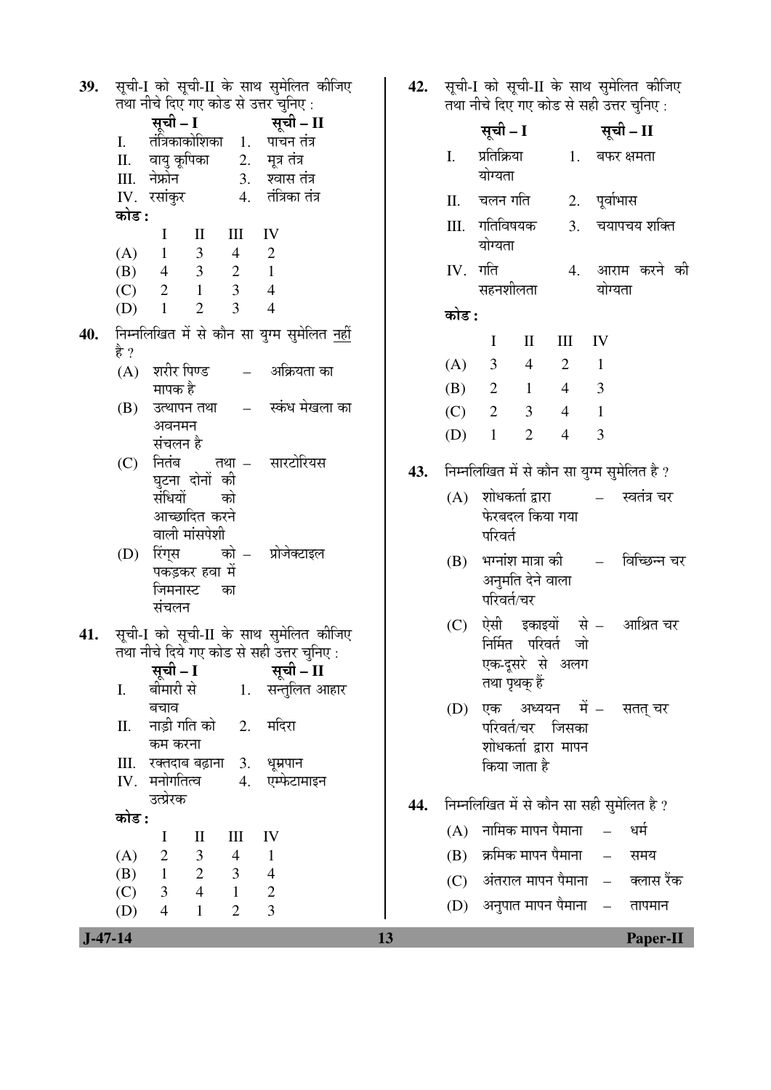| 39.       | सूची-I को सूची-II के साथ सुमेलित कीजिए<br>तथा नीचे दिए गए कोड से उत्तर चुनिए :                                                | 42. | सूची-I को सूची-II के साथ सुमेलित कीजिए<br>तथा नीचे दिए गए कोड से सही उत्तर चुनिए: |                                               |                |              |                 |
|-----------|-------------------------------------------------------------------------------------------------------------------------------|-----|-----------------------------------------------------------------------------------|-----------------------------------------------|----------------|--------------|-----------------|
|           | सूची – I<br>सूची – II                                                                                                         |     |                                                                                   | सूची – I                                      |                |              | सूची – II       |
|           | तंत्रिकाकोशिका 1. पाचन-तंत्र<br>I.                                                                                            |     | I.                                                                                | प्रतिक्रिया                                   | 1.             |              | बफर क्षमता      |
|           | वायु कूपिका 2. मूत्र तंत्र<br>Π.<br>Ⅲ. नेफ्रोन<br>3. श्वास तंत्र                                                              |     |                                                                                   | योग्यता                                       |                |              |                 |
|           | 4. तंत्रिका तंत्र<br>IV. रसांकुर                                                                                              |     | Π.                                                                                | चलन गति                                       | 2.             | पूर्वाभास    |                 |
|           | कोड :<br>$\bf{I}$<br>$\mathbf{I}$<br>Ш<br>IV                                                                                  |     | Ш.                                                                                | गतिविषयक                                      | 3.             |              | चयापचय शक्ति    |
|           | $\mathfrak{Z}$<br>$\mathbf{2}$<br>(A)<br>$\overline{4}$<br>$\mathbf{1}$                                                       |     |                                                                                   | योग्यता                                       |                |              |                 |
|           | 3 <sup>7</sup><br>$\mathbf{1}$<br>$(B)$ 4<br>$\overline{2}$<br>$\overline{3}$<br>$\overline{1}$<br>$\overline{4}$<br>(C)<br>2 |     |                                                                                   | $IV.$ गति<br>सहनशीलता                         |                | योग्यता      | 4. आराम करने की |
|           | 3<br>$\mathbf{1}$<br>$\overline{2}$<br>$\overline{4}$<br>(D)                                                                  |     |                                                                                   |                                               |                |              |                 |
| 40.       | निम्नलिखित में से कौन सा युग्म सुमेलित <u>नहीं</u>                                                                            |     | कोड :                                                                             |                                               |                |              |                 |
|           | है ?                                                                                                                          |     |                                                                                   | $\bf{I}$<br>$\mathbf{I}$                      | $\rm III$      | IV           |                 |
|           | शरीर पिण्ड<br>अक्रियता का<br>(A)<br>$\frac{1}{2}$                                                                             |     | (A)                                                                               | 3<br>$\overline{4}$                           | $\overline{2}$ | $\mathbf{1}$ |                 |
|           | मापक है<br>स्कंध मेखला का<br>उत्थापन तथा<br>$\mathcal{L}^{\mathcal{L}}$ and $\mathcal{L}^{\mathcal{L}}$<br>(B)                |     | (B)                                                                               | $\overline{2}$<br>$\mathbf{1}$                | $\overline{4}$ | 3            |                 |
|           | अवनमन                                                                                                                         |     | (C)                                                                               | $\overline{2}$<br>3                           | $\overline{4}$ | 1            |                 |
|           | संचलन है                                                                                                                      |     | (D)                                                                               | $\overline{2}$<br>$\mathbf{1}$                | $\overline{4}$ | 3            |                 |
|           | सारटोरियस<br>नितंब<br>तथा $-$<br>(C)                                                                                          | 43. |                                                                                   | निम्नलिखित में से कौन सा युग्म सुमेलित है ?   |                |              |                 |
|           | घुटना दोनों की<br>संधियों<br>को                                                                                               |     | (A)                                                                               |                                               |                |              | स्वतंत्र चर     |
|           | आच्छादित करने                                                                                                                 |     |                                                                                   | फेरबदल किया गया                               |                |              |                 |
|           | वाली मांसपेशी                                                                                                                 |     |                                                                                   | परिवर्त                                       |                |              |                 |
|           | (D) रिंग्स  को – प्रोजेक्टाइल<br>पकड़कर हवा में                                                                               |     | (B)                                                                               | भग्नांश मात्रा की                             |                |              | विच्छिन्न चर    |
|           | जिमनास्ट<br>का                                                                                                                |     |                                                                                   | अनुमति देने वाला<br>परिवर्त/चर                |                |              |                 |
|           | संचलन                                                                                                                         |     |                                                                                   |                                               |                |              |                 |
| 41.       | सूची-I को सूची-II के साथ सुमेलित कीजिए                                                                                        |     | (C)                                                                               | ऐसी इकाइयों से – आश्रित-चर<br>निर्मित परिवर्त | जो             |              |                 |
|           | तथा नीचे दिये गए कोड से सही उत्तर चुनिए:<br>सूची – I                                                                          |     |                                                                                   | एक-दूसरे से अलग                               |                |              |                 |
|           | सूची – II<br>बीमारी से<br>1. सन्तुलित आहार<br>I.                                                                              |     |                                                                                   | तथा पृथक् हैं                                 |                |              |                 |
|           | बचाव                                                                                                                          |     | (D)                                                                               | एक अध्ययन में – सतत् चर                       |                |              |                 |
|           | नाड़ी गति को     2.<br>मदिरा<br>Π.                                                                                            |     |                                                                                   | परिवर्त/चर जिसका                              |                |              |                 |
|           | कम करना<br>III. रक्तदाब बढ़ाना<br>3. धूम्रपान                                                                                 |     |                                                                                   | शोधकर्ता द्वारा मापन<br>किया जाता है          |                |              |                 |
|           | $IV.$ मनोगतित्व<br>4. एम्फेटामाइन                                                                                             |     |                                                                                   |                                               |                |              |                 |
|           | उत्प्रेरक                                                                                                                     | 44. |                                                                                   | निम्नलिखित में से कौन सा सही सुमेलित है ?     |                |              |                 |
|           | कोड :<br>$\mathbf{I}$<br>$\bf{I}$<br>Ш<br>IV                                                                                  |     | (A)                                                                               | नामिक मापन पैमाना                             |                |              | धर्म            |
|           | $\overline{1}$                                                                                                                |     | (B)                                                                               | क्रमिक मापन पैमाना                            |                | $\equiv$     | समय             |
|           | (A) $2 \t 3 \t 4$<br>(B) $1 \t 2 \t 3$<br>$\overline{\phantom{a}}$                                                            |     |                                                                                   | (C) अंतराल मापन पैमाना – क्लास रैंक           |                |              |                 |
|           | $3 \t 4 \t 1$<br>$\overline{\phantom{a}}$<br>(C)<br>$\overline{3}$<br>$\overline{2}$<br>$\overline{4}$<br>$\mathbf{1}$        |     |                                                                                   | (D) अनुपात मापन पैमाना   –                    |                |              | तापमान          |
|           | (D)                                                                                                                           |     |                                                                                   |                                               |                |              |                 |
| $J-47-14$ |                                                                                                                               | 13  |                                                                                   |                                               |                |              | <b>Paper-II</b> |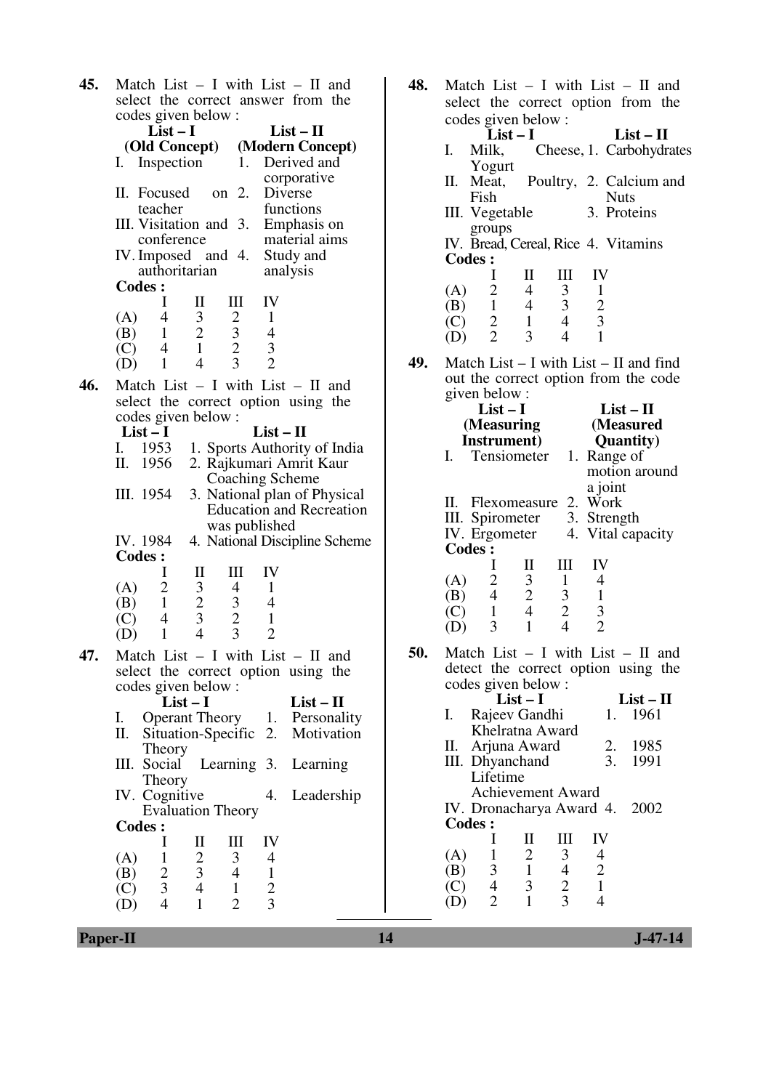| 45. | Match List $-$ I with List $-$ II and                                                   |                                 |
|-----|-----------------------------------------------------------------------------------------|---------------------------------|
|     | select the correct answer from the                                                      |                                 |
|     | codes given below:                                                                      |                                 |
|     | $List-I$                                                                                | $List-II$                       |
|     | (Old Concept)                                                                           | (Modern Concept)                |
|     | I. Inspection                                                                           | Derived and<br>1.               |
|     |                                                                                         | corporative                     |
|     | II. Focused<br>on 2.                                                                    | Diverse                         |
|     | teacher                                                                                 | functions                       |
|     | III. Visitation and 3.                                                                  | Emphasis on                     |
|     | conference<br>IV. Imposed and 4. Study and                                              | material aims                   |
|     | authoritarian                                                                           | analysis                        |
|     | <b>Codes:</b>                                                                           |                                 |
|     | I<br>Ш<br>П                                                                             | IV                              |
|     | 4<br>3<br>(A)                                                                           | 1                               |
|     | $\begin{array}{c} 2 \\ 3 \\ 2 \\ 3 \end{array}$<br>$\overline{1}$<br>(B)                | $\overline{\mathcal{L}}$        |
|     | $\frac{2}{1}$<br>$\overline{4}$<br>(C)                                                  | $\frac{3}{2}$                   |
|     | $\overline{4}$<br>$\mathbf{1}$<br>(D)                                                   |                                 |
| 46. | Match List - I with List - II and                                                       |                                 |
|     | select the correct option using the                                                     |                                 |
|     | codes given below :                                                                     |                                 |
|     | $List-I$                                                                                | $List - II$                     |
|     | I. 1953                                                                                 | 1. Sports Authority of India    |
|     | 1956<br>П.                                                                              | 2. Rajkumari Amrit Kaur         |
|     |                                                                                         | <b>Coaching Scheme</b>          |
|     | III. 1954                                                                               | 3. National plan of Physical    |
|     |                                                                                         | <b>Education and Recreation</b> |
|     |                                                                                         | was published                   |
|     | IV. 1984                                                                                | 4. National Discipline Scheme   |
|     | <b>Codes:</b><br>I<br>П<br>Ш                                                            | IV                              |
|     | $\overline{c}$<br>(A)<br>$\overline{4}$                                                 | $\mathbf{1}$                    |
|     | $\,1\,$<br>(B)                                                                          | $\overline{4}$                  |
|     | $\overline{4}$<br>(C)                                                                   | $\mathbf{1}$                    |
|     | $\begin{array}{c} 3 \\ 2 \\ 3 \\ 4 \end{array}$<br>$\frac{3}{2}$<br>$\mathbf{1}$<br>(D) | $\overline{2}$                  |
|     |                                                                                         |                                 |
| 47. | Match List $- I$ with List $- II$ and<br>select the correct option using the            |                                 |
|     | codes given below:                                                                      |                                 |
|     | $List-I$                                                                                | $List - II$                     |
|     | <b>Operant Theory</b><br>I.                                                             | 1. Personality                  |
|     | П.<br>Situation-Specific                                                                | 2. Motivation                   |
|     | Theory                                                                                  |                                 |
|     | Learning 3.<br>Social<br>Ш.                                                             | Learning                        |
|     | Theory                                                                                  |                                 |
|     | IV. Cognitive                                                                           | 4.<br>Leadership                |
|     | <b>Evaluation Theory</b>                                                                |                                 |
|     | <b>Codes:</b>                                                                           |                                 |
|     | I<br>П<br>Ш                                                                             | IV                              |
|     | $\frac{2}{3}$<br>$\mathbf{1}$<br>3<br>(A)                                               | 4                               |
|     | $\frac{2}{3}$<br>$\overline{\mathcal{A}}$<br>(B)<br>$\overline{4}$<br>(C)<br>1          | $\mathbf{1}$                    |
|     | $\overline{4}$<br>$\mathbf{1}$<br>$\overline{2}$<br>(D)                                 | $\frac{2}{3}$                   |
|     |                                                                                         |                                 |

| 48. | Match List $-$ I with List $-$ II and                                                                                     |
|-----|---------------------------------------------------------------------------------------------------------------------------|
|     | select the correct option from the                                                                                        |
|     | codes given below :                                                                                                       |
|     | $List - II$<br>$List-I$<br>Cheese, 1. Carbohydrates<br>Milk,<br>I.                                                        |
|     | Yogurt                                                                                                                    |
|     | Poultry, 2. Calcium and<br>П.<br>Meat,                                                                                    |
|     | <b>Nuts</b><br>Fish                                                                                                       |
|     | 3. Proteins<br>III. Vegetable<br>groups                                                                                   |
|     | IV. Bread, Cereal, Rice 4. Vitamins                                                                                       |
|     | <b>Codes:</b>                                                                                                             |
|     | $\mathbf{I}$<br>Ι<br>Ш<br>IV                                                                                              |
|     | $\overline{2}$<br>$\overline{4}$<br>3 <sup>7</sup><br>$\mathbf{1}$<br>(A)<br>1<br>$\overline{4}$<br>$\mathfrak{Z}$<br>(B) |
|     | $\frac{2}{3}$<br>$\frac{2}{2}$<br>$\overline{4}$<br>(C)<br>$\mathbf{1}$                                                   |
|     | 3<br>$\overline{4}$<br>$\mathbf{1}$<br>(D)                                                                                |
| 49. | Match List $-$ I with List $-$ II and find                                                                                |
|     | out the correct option from the code                                                                                      |
|     | given below:                                                                                                              |
|     | $List-I$<br>$List - II$<br>(Measuring<br>(Measured                                                                        |
|     | <b>Quantity</b> )<br><b>Instrument</b> )                                                                                  |
|     | Tensiometer 1.<br>I.<br>Range of                                                                                          |
|     | motion around                                                                                                             |
|     | a joint<br>II. Flexomeasure 2. Work                                                                                       |
|     | III. Spirometer<br>IV. Ergometer<br>3. Strength                                                                           |
|     | 4. Vital capacity                                                                                                         |
|     | <b>Codes:</b><br>I<br>$_{\rm II}$<br>IV<br>Ш                                                                              |
|     | $\overline{2}$<br>$\mathfrak{Z}$<br>$\mathbf{1}$<br>$\overline{\mathcal{A}}$<br>(A)                                       |
|     | $\frac{2}{4}$<br>$\overline{4}$<br>$\,1\,$<br>$\mathfrak{Z}$<br>(B)                                                       |
|     | $\frac{2}{4}$<br>$\mathbf{1}$<br>$\frac{3}{2}$<br>(C)<br>$\mathbf{1}$<br>3                                                |
|     | (D)                                                                                                                       |
| 50. | Match List $-$ I with List $-$ II and                                                                                     |
|     | detect the correct option using the<br>codes given below:                                                                 |
|     | $List-II$<br>List – I                                                                                                     |
|     | Rajeev Gandhi<br>1961<br>Ι.<br>1.                                                                                         |
|     | Khelratna Award<br>1985<br>П.<br>Arjuna Award                                                                             |
|     | $rac{2}{3}$ .<br>Dhyanchand<br>1991<br>Ш.                                                                                 |
|     | Lifetime                                                                                                                  |
|     | <b>Achievement Award</b>                                                                                                  |
|     | IV. Dronacharya Award 4.<br>2002<br><b>Codes:</b>                                                                         |
|     | $_{\rm II}$<br>IV<br>I<br>Ш                                                                                               |
|     | $\frac{2}{1}$<br>3<br>4<br>1<br>(A)                                                                                       |
|     | $\frac{2}{1}$<br>$\frac{3}{4}$<br>$\frac{4}{2}$<br>(B)<br>3                                                               |
|     | C)<br>$\overline{2}$<br>1<br>4                                                                                            |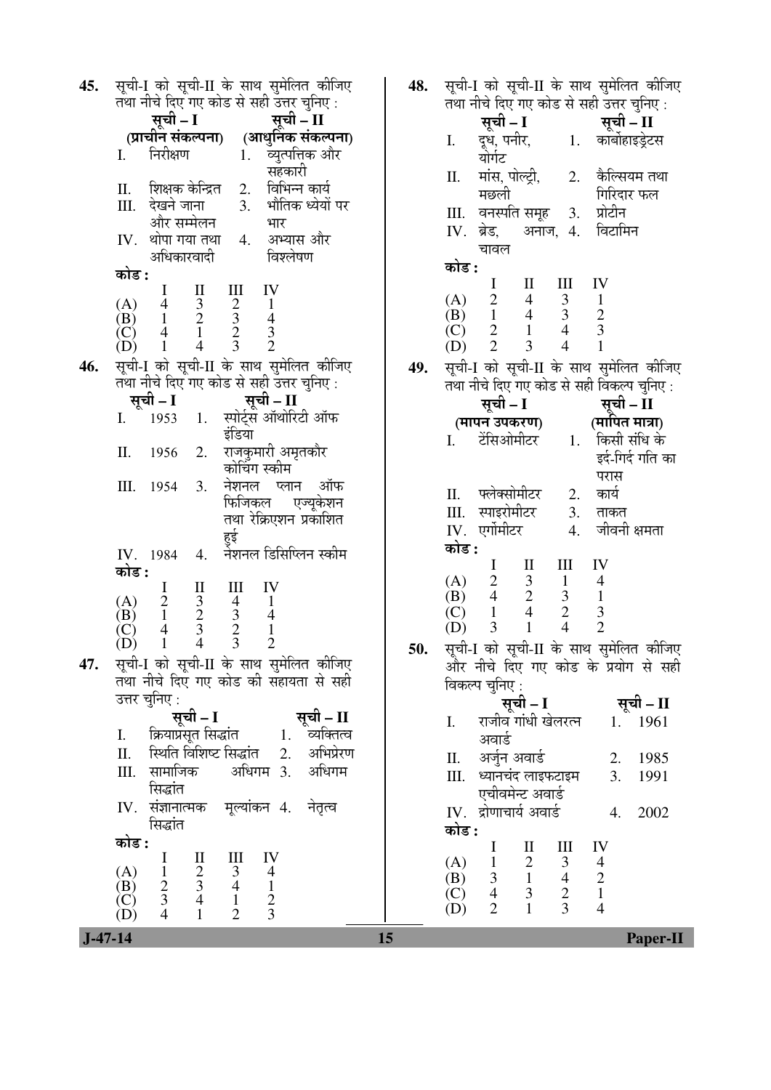| 45. | सूची-I को सूची-II के साथ सुमेलित कीजिए<br>तथा नीचे दिए गए कोड से सही उत्तर चुनिए:                                                                                            | 48. | सूची-I को<br>तथा नीचे वि                       |
|-----|------------------------------------------------------------------------------------------------------------------------------------------------------------------------------|-----|------------------------------------------------|
|     | सूची – I <sup>ं</sup><br>सूची – II                                                                                                                                           |     | सूची                                           |
|     | (प्राचीन संकल्पना) (आधुनिक संकल्पना)                                                                                                                                         |     | I.<br>दूध,                                     |
|     | निरीक्षण<br>1. व्युत्पत्तिक और<br>I.                                                                                                                                         |     | योर्गट                                         |
|     | सहकारी                                                                                                                                                                       |     | मांस,<br>Π.                                    |
|     | 2. विभिन्न कार्य<br>शिक्षक केन्द्रित<br>П.                                                                                                                                   |     | मछल                                            |
|     | 3. भौतिक ध्येयों पर<br>देखने जाना<br>III.<br>और सम्मेलन<br>भार                                                                                                               |     | वनर<br>Ш.                                      |
|     | थोपा गया तथा<br>अभ्यास और<br>IV.<br>4.                                                                                                                                       |     | ब्रेड,<br>IV.                                  |
|     | अधिकारवादी<br>विश्लेषण                                                                                                                                                       |     | चावत                                           |
|     | कोड :                                                                                                                                                                        |     | कोड :                                          |
|     | IV<br>I<br>П<br>Ш                                                                                                                                                            |     | $\bf{I}$<br>(A)                                |
|     | $\begin{array}{c} 3 \\ 2 \\ 1 \end{array}$<br>4<br>$\frac{2}{3}$<br>$\frac{2}{3}$<br>(A)<br>$\mathbf{1}$<br>$\mathbf{1}$<br>(B)                                              |     | $\frac{2}{1}$<br>(B)                           |
|     | $\begin{array}{c} 4 \\ 3 \\ 2 \end{array}$<br>$\overline{4}$<br>(C)                                                                                                          |     | $\frac{2}{2}$<br>(C)                           |
|     | $\overline{4}$<br>(D)<br>$\mathbf{1}$                                                                                                                                        |     | (D)                                            |
| 46. | सूची-I को सूची-II के साथ सुमेलित कीजिए                                                                                                                                       | 49. | सूची-I को                                      |
|     | तथा नीचे दिए गए कोड से सही उत्तर चुनिए :                                                                                                                                     |     | तथा नीचे दि                                    |
|     | सूची – I<br>सूची – II                                                                                                                                                        |     | सूची                                           |
|     | स्पोर्ट्स ऑथोरिटी ऑफ<br>I.<br>1953<br>1.                                                                                                                                     |     | (मापन उ                                        |
|     | इंडिया<br>राजकुमारी अमृतकौर<br>Π.<br>2.<br>1956                                                                                                                              |     | टेंसि<br>I.                                    |
|     | कोचिंग स्कीम                                                                                                                                                                 |     |                                                |
|     | नेशनल प्लान ऑफ<br>III.<br>3.<br>1954                                                                                                                                         |     |                                                |
|     | फिजिकल एज्यूकेशन                                                                                                                                                             |     | फ्लेव<br>П.                                    |
|     | तथा रेक्रिएशन प्रकाशित                                                                                                                                                       |     | स्पाइ<br>Ш.                                    |
|     | हुई                                                                                                                                                                          |     | एर्गोम<br>IV.<br>कोड :                         |
|     | नेशनल डिसिप्लिन स्कीम<br>IV.<br>4.<br>1984                                                                                                                                   |     | $\bf{I}$                                       |
|     | कोड :<br>I<br>IV                                                                                                                                                             |     | $\overline{c}$<br>(A)                          |
|     | П<br>Ш<br>(A)<br>$\mathbf{1}$                                                                                                                                                |     | $\overline{4}$<br>(B)                          |
|     | $\begin{smallmatrix} 2\\1 \end{smallmatrix}$<br>$\overline{4}$<br>(B)                                                                                                        |     | $\mathbf{1}$<br>(C)                            |
|     | $\frac{3}{2}$<br>$\frac{3}{4}$<br>$\begin{array}{c} 4 \\ 3 \\ 2 \\ 3 \end{array}$<br>$\,1\,$<br>$\overline{4}$<br>$\left( C\right)$<br>$\overline{2}$<br>$\mathbf{1}$<br>(D) |     | $\overline{3}$<br>(D)                          |
| 47. | सूची-I को सूची-II के साथ सुमेलित कीजिए                                                                                                                                       | 50. | सूची-I को                                      |
|     | तथा नीचे दिए गए कोड की सहायता से सही                                                                                                                                         |     | और नीचे                                        |
|     | उत्तर चुनिए :                                                                                                                                                                |     | विकल्प चुनि                                    |
|     | सूची – II<br>सूची – I                                                                                                                                                        |     | राजी<br>I.                                     |
|     | क्रियाप्रसूत सिद्धांत<br>व्यक्तित्व<br>I.<br>1.                                                                                                                              |     | अवा                                            |
|     | स्थिति विशिष्ट सिद्धांत<br>अभिप्रेरण<br>2.<br>П.                                                                                                                             |     | अर्जुन<br>П.                                   |
|     | सामाजिक<br>अधिगम<br>अधिगम 3.<br>Ш.                                                                                                                                           |     | Ш.<br>ध्यान                                    |
|     | सिद्धांत                                                                                                                                                                     |     | एची                                            |
|     | संज्ञानात्मक मूल्यांकन 4. नेतृत्व<br>IV.                                                                                                                                     |     | द्रोणा<br>IV.                                  |
|     | सिद्धांत                                                                                                                                                                     |     | कोड :                                          |
|     | कोड :                                                                                                                                                                        |     | I                                              |
|     | IV<br>I<br>$\rm _{II}$<br>Ш<br>(A)<br>$\overline{\mathcal{A}}$                                                                                                               |     | (A)<br>$\mathbf{1}$                            |
|     | $\frac{2}{3}$<br>$\frac{3}{4}$<br>$\frac{1}{2}$<br>$\frac{3}{4}$<br>$\mathbf{1}$<br>(B)                                                                                      |     | $\mathfrak{Z}$<br>(B)<br>$\overline{4}$<br>(C) |
|     | $rac{2}{3}$<br>(C)<br>$\mathbf 1$<br>$\overline{2}$                                                                                                                          |     | $\overline{2}$<br>(D)                          |
|     | $\mathbf{1}$<br>(D)                                                                                                                                                          |     |                                                |

सूची-II के साथ सुमेलित कीजिए रेए गए कोड से सही उत्तर चुनिए :<br>ो – I सूची – II पनीर. योर्गट 1. कार्बोहाइडेटस पोल्ट्री, गी 2. केल्सियम तथा गिरिदार फल<br>प्रोटीन पति समूह 3.  $^\mathrm{u}$ अनाज, 4. স<br>প विटामिन I II III IV (A) 2 4 3 1 (B) 1 4 3 2 (C) 2 1 4 3 (D) 2 3 4 1 सूची-II के साथ सुमेलित कीजिए .<br>रए गए कोड से सही विकल्प चुनिए :  $\mathbf{I} - \mathbf{f}$ **पकरण)**<br>ओमीटर सूची – II  $($ मापित मात्रा $)$ 1. किसी संधि के इर्द-गिर्द गति का परास<br>कार्य .<br>RHÌमीटर 2. रोमीटर 3. ताकत<br>गीटर 4. जीवनी जीवनी क्षमता I II III IV (A) 2 3 1 4 (B) 4 2 3 1 (C) 1 4 2 3 (D) 3 1 4 2 **50.** ÃÖæ"Öß-I ÛúÖê ÃÖæ"Öß-II Ûêú ÃÖÖ£Ö ÃÖã´Öê×»ÖŸÖ Ûúßו֋ दिए गए कोड के प्रयोग से सही गए :<br>**सची – I** सूची – II व गांधी खेलरत्न उ 1. 1961 II. †•ÖãÔ®Ö †¾ÖÖ›Ôü 2. 1985 चंद लाइफटाइम <u> </u>अवार्ड 3. 1991 चार्य अवार्ड  $\,$   $\,$  4. 2002  $\,$ 

 I II III IV (A) 1 2 3 4 (B) 3 1 4 2 (C) 4 3 2 1 (D) 2 1 3 4

 **J-47-14 15 Paper-II**